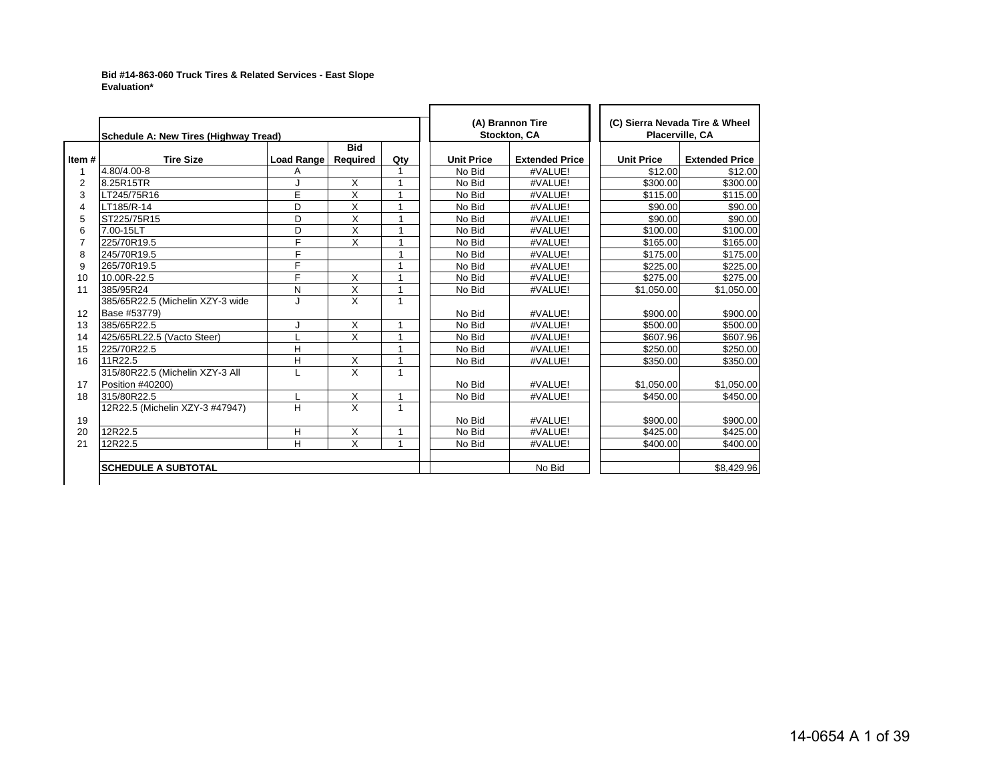## **Bid #14-863-060 Truck Tires & Related Services - East Slope Evaluation\***

|                | Schedule A: New Tires (Highway Tread) |                   |                         |                |                   | (A) Brannon Tire<br><b>Stockton, CA</b> |                   | (C) Sierra Nevada Tire & Wheel<br><b>Placerville, CA</b> |
|----------------|---------------------------------------|-------------------|-------------------------|----------------|-------------------|-----------------------------------------|-------------------|----------------------------------------------------------|
| Item#          | <b>Tire Size</b>                      | <b>Load Range</b> | <b>Bid</b><br>Required  | Qty            | <b>Unit Price</b> | <b>Extended Price</b>                   | <b>Unit Price</b> | <b>Extended Price</b>                                    |
|                | 4.80/4.00-8                           | Α                 |                         |                | No Bid            | #VALUE!                                 | \$12.00           | \$12.00                                                  |
| $\overline{2}$ | 8.25R15TR                             |                   | X                       |                | No Bid            | #VALUE!                                 | \$300.00          | \$300.00                                                 |
| 3              | LT245/75R16                           | E                 | Χ                       | $\overline{1}$ | No Bid            | #VALUE!                                 | \$115.00          | \$115.00                                                 |
| $\overline{4}$ | LT185/R-14                            | D                 | X                       | $\overline{1}$ | No Bid            | #VALUE!                                 | \$90.00           | \$90.00                                                  |
| 5              | ST225/75R15                           | D                 | X                       |                | No Bid            | #VALUE!                                 | \$90.00           | \$90.00                                                  |
| 6              | 7.00-15LT                             | D                 | X                       | $\overline{ }$ | No Bid            | #VALUE!                                 | \$100.00          | \$100.00                                                 |
| 7              | 225/70R19.5                           | F                 | $\times$                |                | No Bid            | #VALUE!                                 | \$165.00          | \$165.00                                                 |
| 8              | 245/70R19.5                           | E                 |                         |                | No Bid            | #VALUE!                                 | \$175.00          | \$175.00                                                 |
| 9              | 265/70R19.5                           | F                 |                         |                | No Bid            | #VALUE!                                 | \$225.00          | \$225.00                                                 |
| 10             | 10.00R-22.5                           | F                 | X                       | $\overline{1}$ | No Bid            | #VALUE!                                 | \$275.00          | \$275.00                                                 |
| 11             | 385/95R24                             | N                 | X                       | $\mathbf{1}$   | No Bid            | #VALUE!                                 | \$1,050.00        | \$1,050.00                                               |
|                | 385/65R22.5 (Michelin XZY-3 wide      | ۱.                | X                       | 1              |                   |                                         |                   |                                                          |
| 12             | Base #53779)                          |                   |                         |                | No Bid            | #VALUE!                                 | \$900.00          | \$900.00                                                 |
| 13             | 385/65R22.5                           |                   | X                       | $\overline{1}$ | No Bid            | #VALUE!                                 | \$500.00          | \$500.00                                                 |
| 14             | 425/65RL22.5 (Vacto Steer)            |                   | X                       |                | No Bid            | #VALUE!                                 | \$607.96          | \$607.96                                                 |
| 15             | 225/70R22.5                           | H                 |                         | $\overline{ }$ | No Bid            | #VALUE!                                 | \$250.00          | \$250.00                                                 |
| 16             | 11R22.5                               | H                 | X                       | 1              | No Bid            | #VALUE!                                 | \$350.00          | \$350.00                                                 |
|                | 315/80R22.5 (Michelin XZY-3 All       |                   | $\times$                | 1              |                   |                                         |                   |                                                          |
| 17             | Position #40200)                      |                   |                         |                | No Bid            | #VALUE!                                 | \$1,050.00        | \$1,050.00                                               |
| 18             | 315/80R22.5                           |                   | X                       | $\mathbf{1}$   | No Bid            | #VALUE!                                 | \$450.00          | \$450.00                                                 |
|                | 12R22.5 (Michelin XZY-3 #47947)       | H                 | $\overline{\mathsf{x}}$ | $\mathbf{1}$   |                   |                                         |                   |                                                          |
| 19             |                                       |                   |                         |                | No Bid            | #VALUE!                                 | \$900.00          | \$900.00                                                 |
| 20             | 12R22.5                               | н                 | X                       | $\mathbf{1}$   | No Bid            | #VALUE!                                 | \$425.00          | \$425.00                                                 |
| 21             | 12R22.5                               | H                 | $\overline{X}$          | $\overline{1}$ | No Bid            | #VALUE!                                 | \$400.00          | \$400.00                                                 |
|                | <b>SCHEDULE A SUBTOTAL</b>            |                   |                         |                |                   | No Bid                                  |                   | \$8,429.96                                               |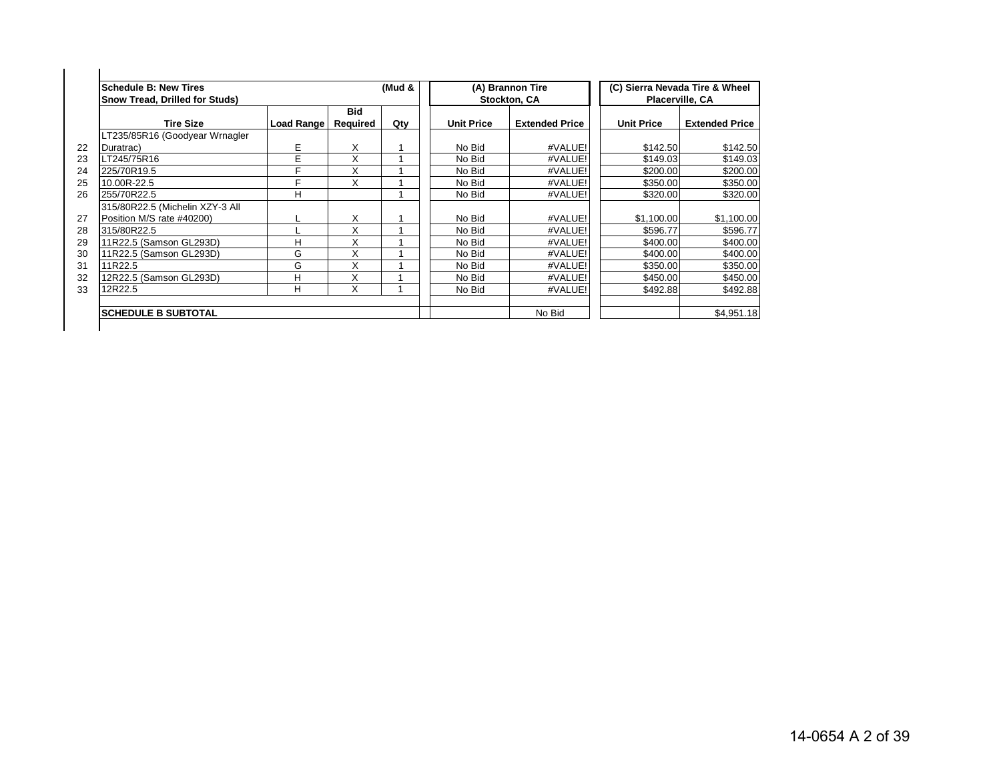| Schedule B: New Tires<br><b>Snow Tread, Drilled for Studs)</b> |            |                 | (Mud & |                   | (A) Brannon Tire<br>Stockton, CA |                   | (C) Sierra Nevada Tire & Wheel<br>Placerville, CA |
|----------------------------------------------------------------|------------|-----------------|--------|-------------------|----------------------------------|-------------------|---------------------------------------------------|
| <b>Tire Size</b>                                               | Load Range | Bid<br>Required | Qty    | <b>Unit Price</b> | <b>Extended Price</b>            | <b>Unit Price</b> | <b>Extended Price</b>                             |
| LT235/85R16 (Goodyear Wrnagler                                 |            |                 |        |                   |                                  |                   |                                                   |
| Duratrac)                                                      | E          | Χ               |        | No Bid            | #VALUE!                          | \$142.50          | \$142.50                                          |
| LT245/75R16                                                    | E          | Χ               |        | No Bid            | #VALUE!                          | \$149.03          | \$149.03                                          |
| 225/70R19.5                                                    | F          | X               |        | No Bid            | #VALUE!                          | \$200.00          | \$200.00                                          |
| 10.00R-22.5                                                    | F          | X               |        | No Bid            | #VALUE!                          | \$350.00          | \$350.00                                          |
| 255/70R22.5                                                    | н          |                 |        | No Bid            | #VALUE!                          | \$320.00          | \$320.00                                          |
| 315/80R22.5 (Michelin XZY-3 All                                |            |                 |        |                   |                                  |                   |                                                   |
| Position M/S rate #40200)                                      |            | X               |        | No Bid            | #VALUE!                          | \$1,100.00        | \$1,100.00                                        |
| 315/80R22.5                                                    |            | X               |        | No Bid            | #VALUE!                          | \$596.77          | \$596.77                                          |
| 11R22.5 (Samson GL293D)                                        | н          | X               |        | No Bid            | #VALUE!                          | \$400.00          | \$400.00                                          |
| 11R22.5 (Samson GL293D)                                        | G          | X               |        | No Bid            | #VALUE!                          | \$400.00          | \$400.00                                          |
| 11R22.5                                                        | G          | X               |        | No Bid            | #VALUE!                          | \$350.00          | \$350.00                                          |
| 12R22.5 (Samson GL293D)                                        | н          | X               |        | No Bid            | #VALUE!                          | \$450.00          | \$450.00                                          |
| 12R22.5                                                        | н          | X               |        | No Bid            | #VALUE!                          | \$492.88          | \$492.88                                          |
| <b>ISCHEDULE B SUBTOTAL</b>                                    |            |                 |        |                   | No Bid                           |                   | \$4.951.18                                        |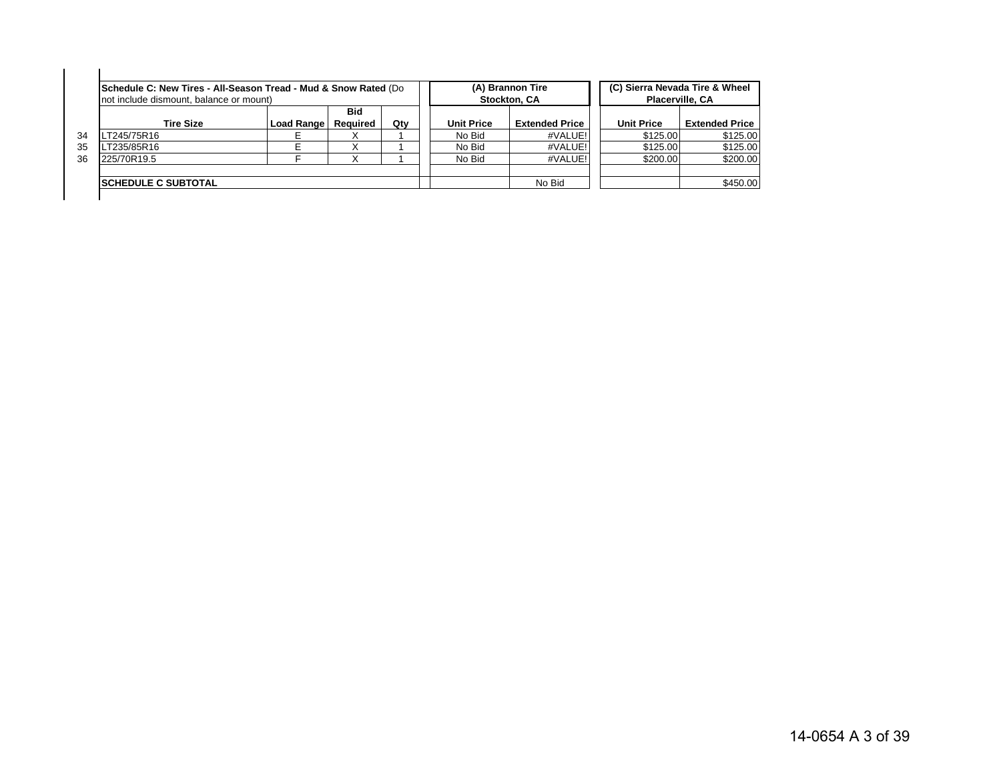|    | Schedule C: New Tires - All-Season Tread - Mud & Snow Rated (Do<br>not include dismount, balance or mount) |                   |                        |     |                   | (A) Brannon Tire<br>Stockton, CA | Placerville, CA   | (C) Sierra Nevada Tire & Wheel |
|----|------------------------------------------------------------------------------------------------------------|-------------------|------------------------|-----|-------------------|----------------------------------|-------------------|--------------------------------|
|    | <b>Tire Size</b>                                                                                           | <b>Load Range</b> | <b>Bid</b><br>Reauired | Qty | <b>Unit Price</b> | <b>Extended Price</b>            | <b>Unit Price</b> | <b>Extended Price</b>          |
| 34 | T245/75R16                                                                                                 |                   |                        |     | No Bid            | #VALUE!                          | \$125.00          | \$125.00                       |
| 35 | T235/85R16                                                                                                 |                   |                        |     | No Bid            | #VALUE!                          | \$125.00          | \$125.00                       |
| 36 | 225/70R19.5                                                                                                |                   |                        |     | No Bid            | #VALUE!                          | \$200.00          | \$200.00                       |
|    | <b>ISCHEDULE C SUBTOTAL</b>                                                                                |                   |                        |     |                   | No Bid                           |                   | \$450.00                       |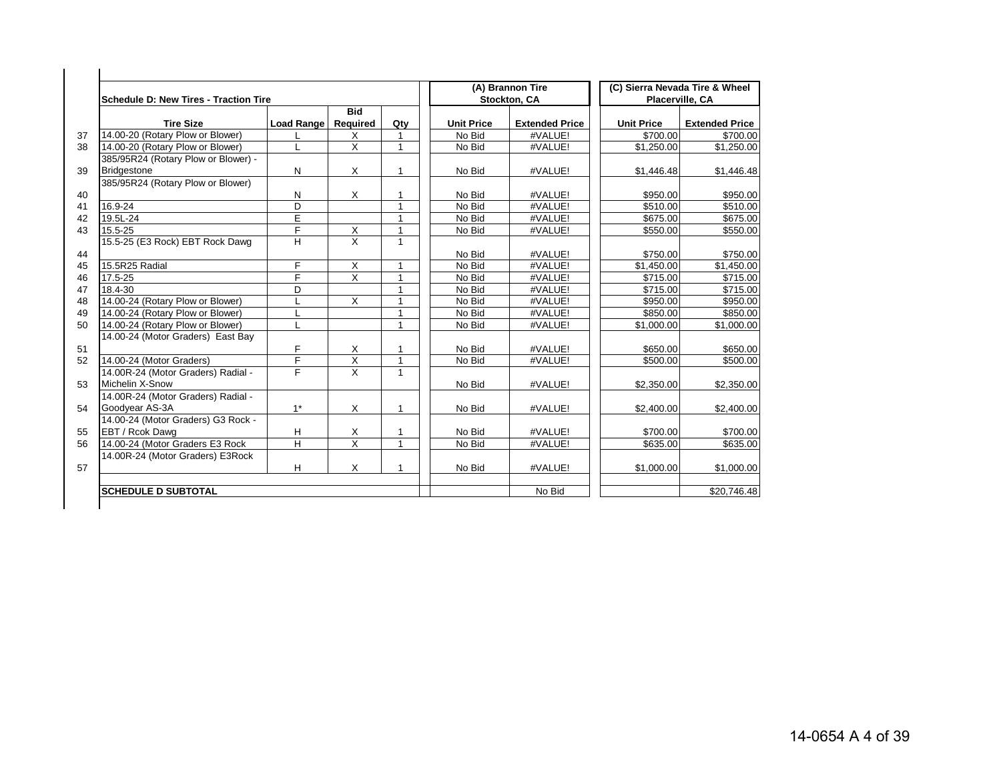| Schedule D: New Tires - Traction Tire |            |                         |                |                   | (A) Brannon Tire<br>Stockton, CA |                   | (C) Sierra Nevada Tire & Wheel<br>Placerville, CA |
|---------------------------------------|------------|-------------------------|----------------|-------------------|----------------------------------|-------------------|---------------------------------------------------|
|                                       |            | <b>Bid</b>              |                |                   |                                  |                   |                                                   |
| <b>Tire Size</b>                      | Load Range | Required                | Qty            | <b>Unit Price</b> | <b>Extended Price</b>            | <b>Unit Price</b> | <b>Extended Price</b>                             |
| 14.00-20 (Rotary Plow or Blower)      |            | X                       |                | No Bid            | #VALUE!                          | \$700.00          | \$700.00                                          |
| 14.00-20 (Rotary Plow or Blower)      | L          | X                       |                | No Bid            | #VALUE!                          | \$1,250.00        | \$1,250.00                                        |
| 385/95R24 (Rotary Plow or Blower) -   |            |                         |                |                   |                                  |                   |                                                   |
| <b>Bridgestone</b>                    | N          | X                       | $\mathbf{1}$   | No Bid            | #VALUE!                          | \$1,446.48        | \$1,446.48                                        |
| 385/95R24 (Rotary Plow or Blower)     |            |                         |                |                   |                                  |                   |                                                   |
|                                       | N          | X                       |                | No Bid            | #VALUE!                          | \$950.00          | \$950.00                                          |
| 16.9-24                               | D          |                         | 1              | No Bid            | #VALUE!                          | \$510.00          | \$510.00                                          |
| 19.5L-24                              | E          |                         | 1              | No Bid            | #VALUE!                          | \$675.00          | \$675.00                                          |
| 15.5-25                               | F          | X                       | $\overline{1}$ | No Bid            | #VALUE!                          | \$550.00          | \$550.00                                          |
| 15.5-25 (E3 Rock) EBT Rock Dawg       | H          | X                       | $\mathbf{1}$   |                   |                                  |                   |                                                   |
|                                       |            |                         |                | No Bid            | #VALUE!                          | \$750.00          | \$750.00                                          |
| 15.5R25 Radial                        | F          | X                       | 1              | No Bid            | #VALUE!                          | \$1,450.00        | \$1,450.00                                        |
| 17.5-25                               | F          | $\overline{X}$          | 1              | No Bid            | #VALUE!                          | \$715.00          | \$715.00                                          |
| 18.4-30                               | D          |                         | $\overline{1}$ | No Bid            | #VALUE!                          | \$715.00          | \$715.00                                          |
| 14.00-24 (Rotary Plow or Blower)      | L          | $\times$                | 1              | No Bid            | #VALUE!                          | \$950.00          | \$950.00                                          |
| 14.00-24 (Rotary Plow or Blower)      | L          |                         | 1              | No Bid            | #VALUE!                          | \$850.00          | \$850.00                                          |
| 14.00-24 (Rotary Plow or Blower)      | L          |                         | $\mathbf{1}$   | No Bid            | #VALUE!                          | \$1,000.00        | \$1,000.00                                        |
| 14.00-24 (Motor Graders) East Bay     |            |                         |                |                   |                                  |                   |                                                   |
|                                       | F          | Х                       |                | No Bid            | #VALUE!                          | \$650.00          | \$650.00                                          |
| 14.00-24 (Motor Graders)              | F          | Χ                       | 1              | No Bid            | #VALUE!                          | \$500.00          | \$500.00                                          |
| 14.00R-24 (Motor Graders) Radial -    | F          | $\overline{\mathsf{x}}$ | 1              |                   |                                  |                   |                                                   |
| <b>Michelin X-Snow</b>                |            |                         |                | No Bid            | #VALUE!                          | \$2,350.00        | \$2,350.00                                        |
| 14.00R-24 (Motor Graders) Radial -    |            |                         |                |                   |                                  |                   |                                                   |
| Goodyear AS-3A                        | $1^*$      | X                       | $\mathbf{1}$   | No Bid            | #VALUE!                          | \$2,400.00        | \$2,400.00                                        |
| 14.00-24 (Motor Graders) G3 Rock -    |            |                         |                |                   |                                  |                   |                                                   |
| EBT / Rcok Dawg                       | н          | X                       | -1             | No Bid            | #VALUE!                          | \$700.00          | \$700.00                                          |
| 14.00-24 (Motor Graders E3 Rock       | H          | X                       | 1              | No Bid            | #VALUE!                          | \$635.00          | \$635.00                                          |
| 14.00R-24 (Motor Graders) E3Rock      |            |                         |                |                   |                                  |                   |                                                   |
|                                       | н          | X                       | 1              | No Bid            | #VALUE!                          | \$1,000.00        | \$1,000.00                                        |
| <b>SCHEDULE D SUBTOTAL</b>            |            |                         |                |                   | No Bid                           |                   | \$20,746.48                                       |
|                                       |            |                         |                |                   |                                  |                   |                                                   |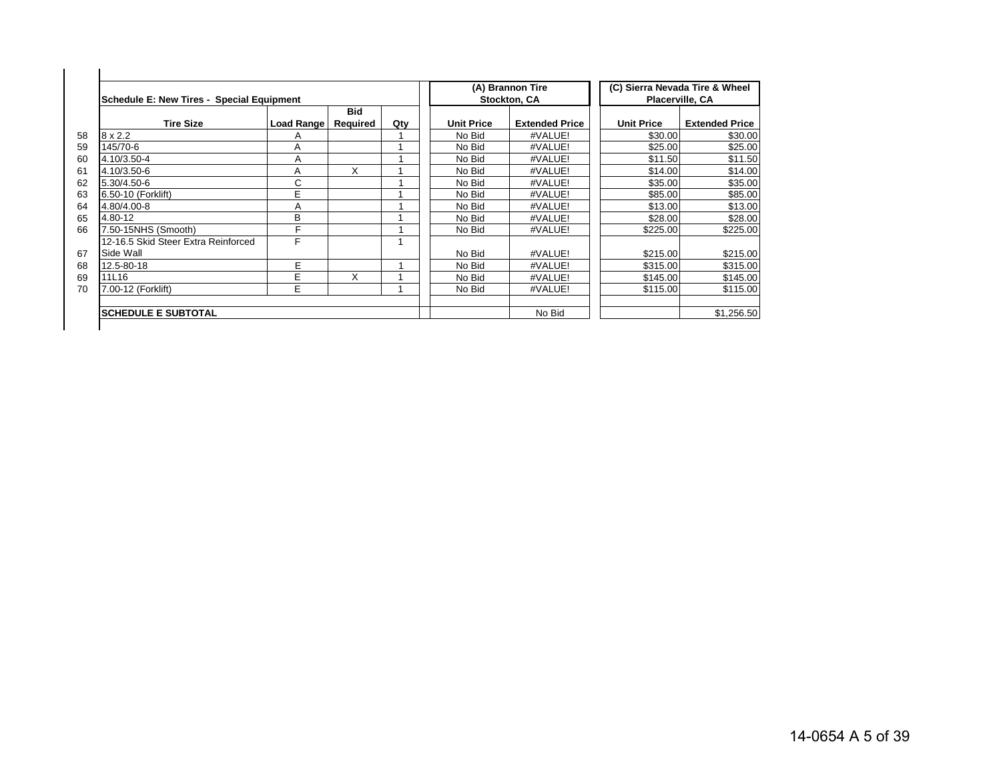| Schedule E: New Tires - Special Equipment |            |                        |     |                   | (A) Brannon Tire<br>Stockton, CA |                   | (C) Sierra Nevada Tire & Wheel<br>Placerville, CA |
|-------------------------------------------|------------|------------------------|-----|-------------------|----------------------------------|-------------------|---------------------------------------------------|
| <b>Tire Size</b>                          | Load Range | <b>Bid</b><br>Required | Qty | <b>Unit Price</b> | <b>Extended Price</b>            | <b>Unit Price</b> | <b>Extended Price</b>                             |
| $8 \times 2.2$                            | A          |                        |     | No Bid            | #VALUE!                          | \$30.00           | \$30.00                                           |
| 145/70-6                                  | Α          |                        |     | No Bid            | #VALUE!                          | \$25.00           | \$25.00                                           |
| 4.10/3.50-4                               | Α          |                        |     | No Bid            | #VALUE!                          | \$11.50           | \$11.50                                           |
| 4.10/3.50-6                               | A          | X                      |     | No Bid            | #VALUE!                          | \$14.00           | \$14.00                                           |
| 5.30/4.50-6                               | С          |                        |     | No Bid            | #VALUE!                          | \$35.00           | \$35.00                                           |
| 6.50-10 (Forklift)                        | E          |                        |     | No Bid            | #VALUE!                          | \$85.00           | \$85.00                                           |
| 4.80/4.00-8                               | Α          |                        |     | No Bid            | #VALUE!                          | \$13.00           | \$13.00                                           |
| 4.80-12                                   | B          |                        |     | No Bid            | #VALUE!                          | \$28.00           | \$28.00                                           |
| 7.50-15NHS (Smooth)                       | F          |                        |     | No Bid            | #VALUE!                          | \$225.00          | \$225.00                                          |
| 12-16.5 Skid Steer Extra Reinforced       | F          |                        |     |                   |                                  |                   |                                                   |
| Side Wall                                 |            |                        |     | No Bid            | #VALUE!                          | \$215.00          | \$215.00                                          |
| 12.5-80-18                                | E          |                        |     | No Bid            | #VALUE!                          | \$315.00          | \$315.00                                          |
| 11L16                                     | E          | X                      |     | No Bid            | #VALUE!                          | \$145.00          | \$145.00                                          |
| 7.00-12 (Forklift)                        | E          |                        |     | No Bid            | #VALUE!                          | \$115.00          | \$115.00                                          |
| <b>SCHEDULE E SUBTOTAL</b>                |            |                        |     |                   | No Bid                           |                   | \$1,256.50                                        |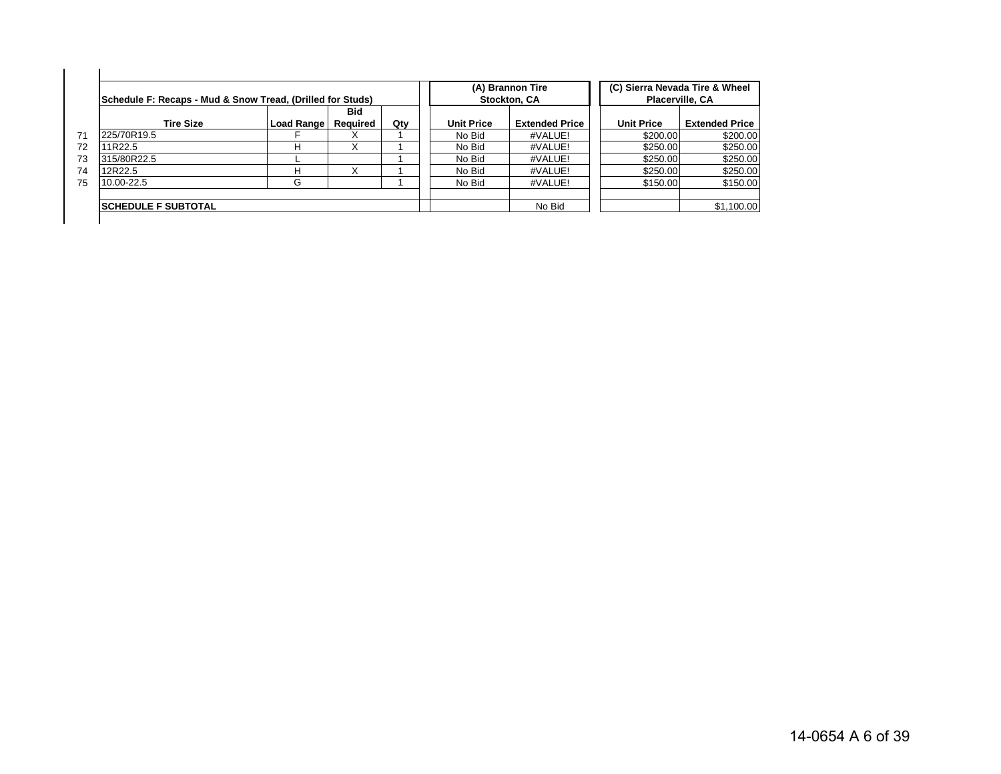| Schedule F: Recaps - Mud & Snow Tread, (Drilled for Studs) |            |          |     |                   | (A) Brannon Tire<br>Stockton, CA |                   | (C) Sierra Nevada Tire & Wheel<br><b>Placerville, CA</b> |
|------------------------------------------------------------|------------|----------|-----|-------------------|----------------------------------|-------------------|----------------------------------------------------------|
|                                                            |            | Bid      |     |                   |                                  |                   |                                                          |
| <b>Tire Size</b>                                           | Load Range | Reauired | Qty | <b>Unit Price</b> | <b>Extended Price</b>            | <b>Unit Price</b> | <b>Extended Price</b>                                    |
| 225/70R19.5                                                |            |          |     | No Bid            | #VALUE!                          | \$200.00          | \$200.00                                                 |
| 11R22.5                                                    | н          | X        |     | No Bid            | #VALUE!                          | \$250.00          | \$250.00                                                 |
| 315/80R22.5                                                |            |          |     | No Bid            | #VALUE!                          | \$250.00          | \$250.00                                                 |
| 12R22.5                                                    | н          |          |     | No Bid            | #VALUE!                          | \$250.00          | \$250.00                                                 |
| 10.00-22.5                                                 | G          |          |     | No Bid            | #VALUE!                          | \$150.00          | \$150.00                                                 |
|                                                            |            |          |     |                   |                                  |                   |                                                          |
| <b>SCHEDULE F SUBTOTAL</b>                                 |            |          |     | No Bid            |                                  | \$1,100.00        |                                                          |

14-0654 A 6 of 39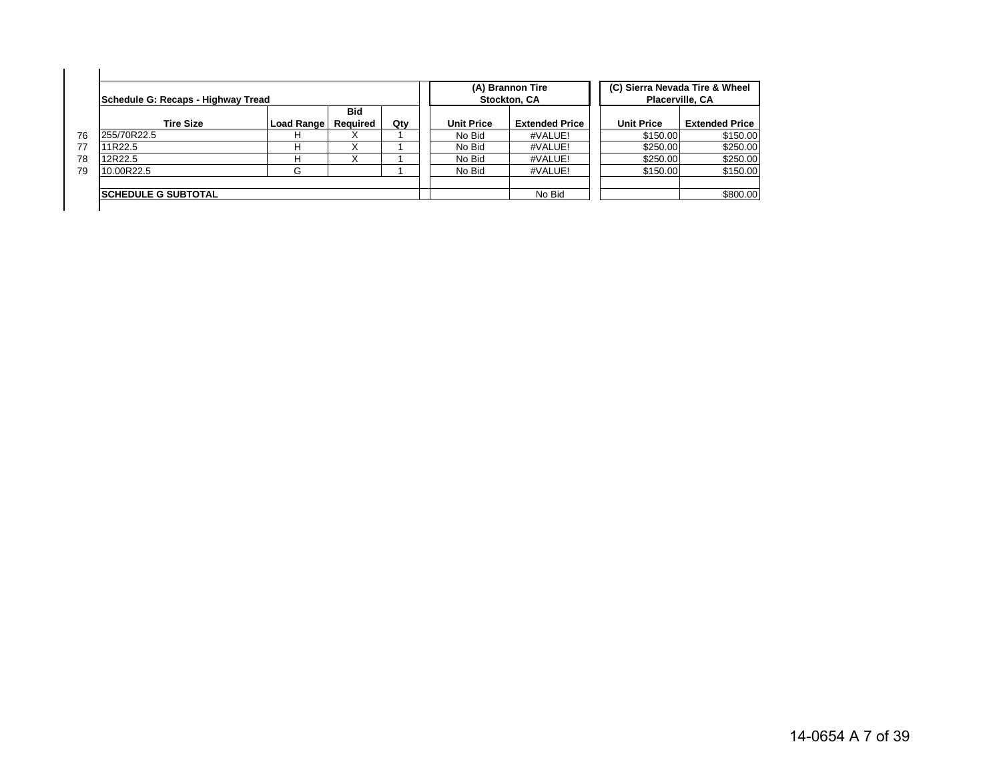|    | Schedule G: Recaps - Highway Tread |            |                 |     |                   | (A) Brannon Tire<br>Stockton, CA | (C) Sierra Nevada Tire & Wheel<br>Placerville, CA |                       |
|----|------------------------------------|------------|-----------------|-----|-------------------|----------------------------------|---------------------------------------------------|-----------------------|
|    | <b>Tire Size</b>                   | Load Range | Bid<br>Reauired | Qty | <b>Unit Price</b> | <b>Extended Price</b>            | <b>Unit Price</b>                                 | <b>Extended Price</b> |
| 76 | 255/70R22.5                        |            |                 |     | No Bid            | #VALUE!                          | \$150.00                                          | \$150.00              |
| 77 | 11R22.5                            |            |                 |     | No Bid            | #VALUE!                          | \$250.00                                          | \$250.00              |
| 78 | 12R22.5                            | н          |                 |     | No Bid            | #VALUE!                          | \$250.00                                          | \$250.00              |
| 79 | 10.00R22.5                         | G          |                 |     | No Bid            | #VALUE!                          | \$150.00                                          | \$150.00              |
|    | <b>ISCHEDULE G SUBTOTAL</b>        |            |                 |     |                   | No Bid                           |                                                   | \$800.00              |

14-0654 A 7 of 39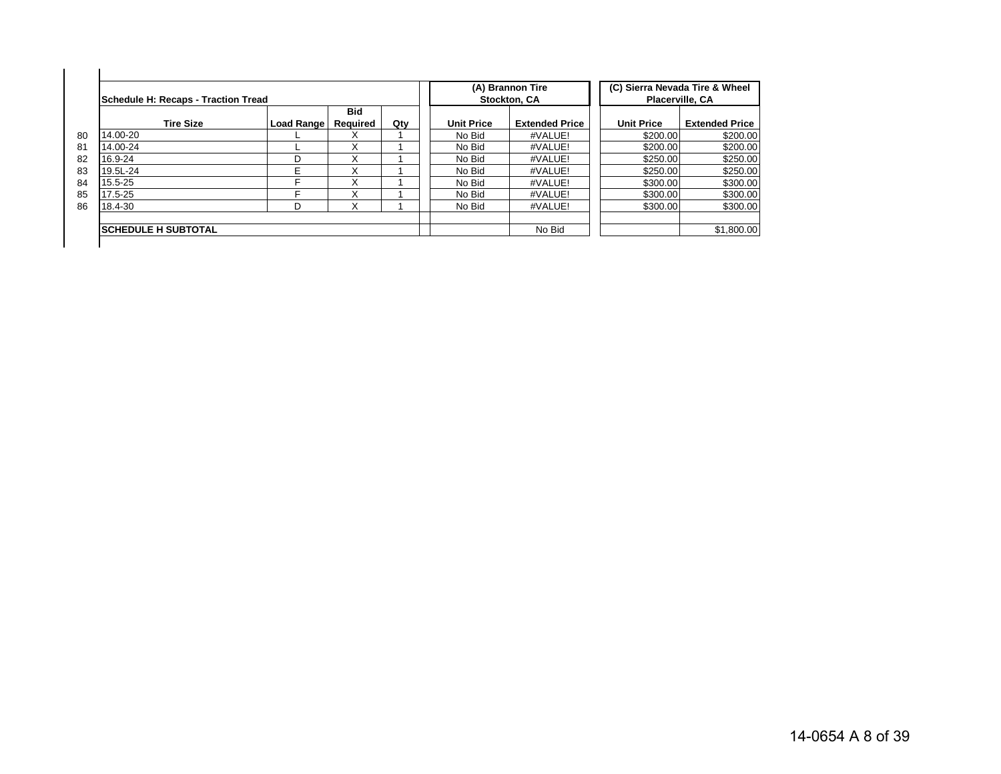| Schedule H: Recaps - Traction Tread |            |                 |     |                   | (A) Brannon Tire<br><b>Stockton, CA</b> |                   | (C) Sierra Nevada Tire & Wheel<br><b>Placerville, CA</b> |
|-------------------------------------|------------|-----------------|-----|-------------------|-----------------------------------------|-------------------|----------------------------------------------------------|
| <b>Tire Size</b>                    | Load Range | Bid<br>Required | Qty | <b>Unit Price</b> | <b>Extended Price</b>                   | <b>Unit Price</b> | <b>Extended Price</b>                                    |
| 14.00-20                            |            | х               |     | No Bid            | #VALUE!                                 | \$200.00          | \$200.00                                                 |
| 14.00-24                            |            |                 |     | No Bid            | #VALUE!                                 | \$200.00          | \$200.00                                                 |
| 16.9-24                             | D          |                 |     | No Bid            | #VALUE!                                 | \$250.00          | \$250.00                                                 |
| 19.5L-24                            | E          | Χ               |     | No Bid            | #VALUE!                                 | \$250.00          | \$250.00                                                 |
| 15.5-25                             | ⊏          |                 |     | No Bid            | #VALUE!                                 | \$300.00          | \$300.00                                                 |
| 17.5-25                             |            |                 |     | No Bid            | #VALUE!                                 | \$300.00          | \$300.00                                                 |
| 18.4-30                             | D          |                 |     | No Bid            | #VALUE!                                 | \$300.00          | \$300.00                                                 |
| <b>ISCHEDULE H SUBTOTAL</b>         |            |                 |     |                   | No Bid                                  |                   | \$1,800.00                                               |

14-0654 A 8 of 39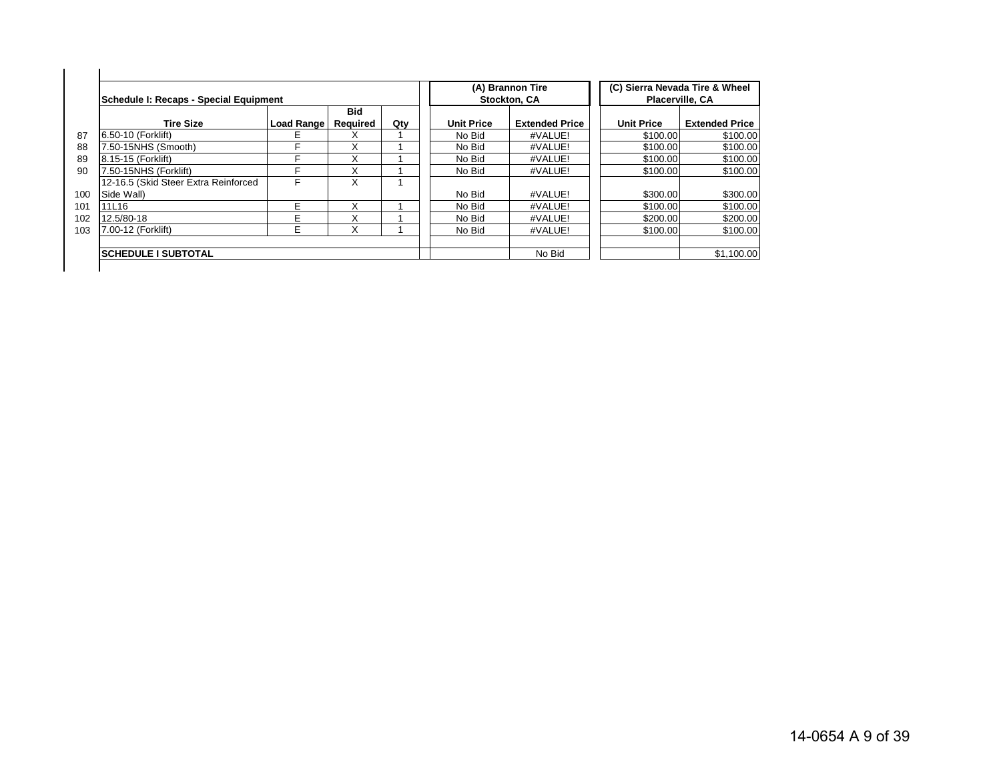|     | Schedule I: Recaps - Special Equipment |            |                 |     |                   | (A) Brannon Tire<br><b>Stockton, CA</b> |                   | (C) Sierra Nevada Tire & Wheel<br><b>Placerville, CA</b> |
|-----|----------------------------------------|------------|-----------------|-----|-------------------|-----------------------------------------|-------------------|----------------------------------------------------------|
|     | <b>Tire Size</b>                       | Load Range | Bid<br>Required | Qty | <b>Unit Price</b> | <b>Extended Price</b>                   | <b>Unit Price</b> | <b>Extended Price</b>                                    |
| 87  | 6.50-10 (Forklift)                     | E          |                 |     | No Bid            | #VALUE!                                 | \$100.00          | \$100.00                                                 |
| 88  | 7.50-15NHS (Smooth)                    | F          | Χ               |     | No Bid            | #VALUE!                                 | \$100.00          | \$100.00                                                 |
| 89  | 8.15-15 (Forklift)                     | F          | X               |     | No Bid            | #VALUE!                                 | \$100.00          | \$100.00                                                 |
| 90  | 7.50-15NHS (Forklift)                  | F          |                 |     | No Bid            | #VALUE!                                 | \$100.00          | \$100.00                                                 |
|     | 12-16.5 (Skid Steer Extra Reinforced   | F          | x               |     |                   |                                         |                   |                                                          |
| 100 | Side Wall)                             |            |                 |     | No Bid            | #VALUE!                                 | \$300.00          | \$300.00                                                 |
| 101 | 11L16                                  | E          |                 |     | No Bid            | #VALUE!                                 | \$100.00          | \$100.00                                                 |
| 102 | 12.5/80-18                             | E          | x               |     | No Bid            | #VALUE!                                 | \$200.00          | \$200.00                                                 |
| 103 | 7.00-12 (Forklift)                     | E          | Χ               |     | No Bid            | #VALUE!                                 | \$100.00          | \$100.00                                                 |
|     | <b>SCHEDULE I SUBTOTAL</b>             |            |                 |     |                   | No Bid                                  |                   | \$1.100.00                                               |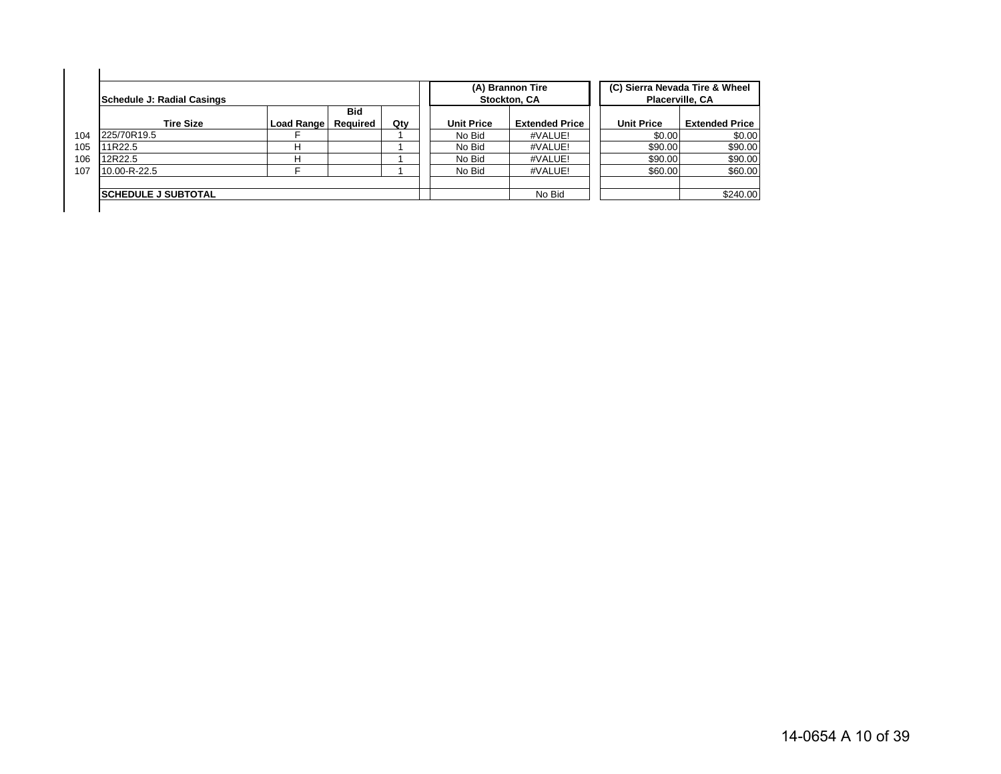|     | Schedule J: Radial Casings  |              |                        |     |                   | (A) Brannon Tire<br>Stockton, CA | (C) Sierra Nevada Tire & Wheel<br>Placerville, CA |                       |
|-----|-----------------------------|--------------|------------------------|-----|-------------------|----------------------------------|---------------------------------------------------|-----------------------|
|     | <b>Tire Size</b>            | Load Range I | <b>Bid</b><br>Required | Qty | <b>Unit Price</b> | <b>Extended Price</b>            | <b>Unit Price</b>                                 | <b>Extended Price</b> |
| 104 | 225/70R19.5                 |              |                        |     | No Bid            | #VALUE!                          | \$0.00                                            | \$0.00                |
| 105 | 11R22.5                     | н            |                        |     | No Bid            | #VALUE!                          | \$90.00                                           | \$90.00               |
| 106 | 12R22.5                     | н            |                        |     | No Bid            | #VALUE!                          | \$90.00                                           | \$90.00               |
| 107 | 10.00-R-22.5                |              |                        |     | No Bid            | #VALUE!                          | \$60.00                                           | \$60.00               |
|     |                             |              |                        |     |                   |                                  |                                                   |                       |
|     | <b>ISCHEDULE J SUBTOTAL</b> |              |                        |     |                   | No Bid                           |                                                   | \$240.00              |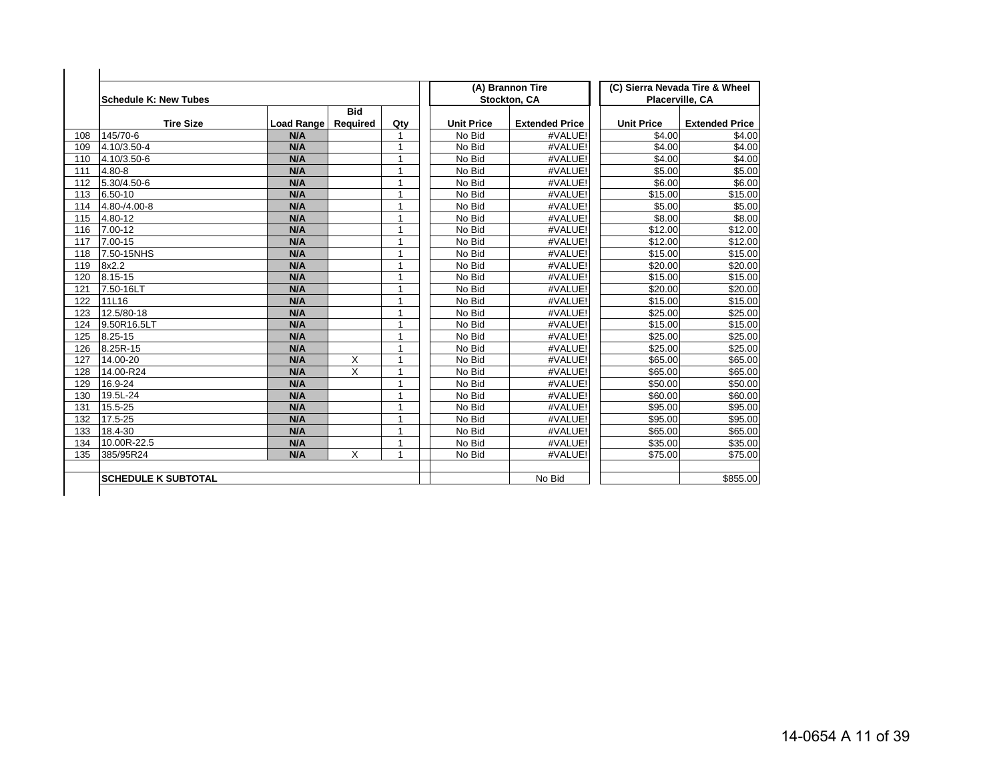|     | <b>Schedule K: New Tubes</b> |                   |                        |                |                   | (A) Brannon Tire<br>Stockton, CA |                   | (C) Sierra Nevada Tire & Wheel<br>Placerville, CA |
|-----|------------------------------|-------------------|------------------------|----------------|-------------------|----------------------------------|-------------------|---------------------------------------------------|
|     | <b>Tire Size</b>             | <b>Load Range</b> | <b>Bid</b><br>Required | Qty            | <b>Unit Price</b> | <b>Extended Price</b>            | <b>Unit Price</b> | <b>Extended Price</b>                             |
| 108 | 145/70-6                     | N/A               |                        | 1              | No Bid            | #VALUE!                          | \$4.00            | \$4.00                                            |
| 109 | 4.10/3.50-4                  | N/A               |                        | 1              | No Bid            | #VALUE!                          | \$4.00            | \$4.00                                            |
| 110 | 4.10/3.50-6                  | N/A               |                        | 1              | No Bid            | #VALUE!                          | \$4.00            | \$4.00                                            |
| 111 | 4.80-8                       | N/A               |                        | 1              | No Bid            | #VALUE!                          | \$5.00            | \$5.00                                            |
| 112 | 5.30/4.50-6                  | N/A               |                        | 1              | No Bid            | #VALUE!                          | \$6.00            | \$6.00                                            |
| 113 | 6.50-10                      | N/A               |                        | 1              | No Bid            | #VALUE!                          | \$15.00           | \$15.00                                           |
| 114 | 4.80-/4.00-8                 | N/A               |                        | 1              | No Bid            | #VALUE!                          | \$5.00            | \$5.00                                            |
| 115 | 4.80-12                      | N/A               |                        | 1              | No Bid            | #VALUE!                          | \$8.00            | \$8.00                                            |
| 116 | 7.00-12                      | N/A               |                        | 1              | No Bid            | #VALUE!                          | \$12.00           | \$12.00                                           |
| 117 | $7.00 - 15$                  | N/A               |                        | 1              | No Bid            | #VALUE!                          | \$12.00           | \$12.00                                           |
| 118 | 7.50-15NHS                   | N/A               |                        | 1              | No Bid            | #VALUE!                          | \$15.00           | \$15.00                                           |
| 119 | 8x2.2                        | N/A               |                        | 1              | No Bid            | #VALUE!                          | \$20.00           | \$20.00                                           |
| 120 | 8.15-15                      | N/A               |                        | $\overline{1}$ | No Bid            | #VALUE!                          | \$15.00           | \$15.00                                           |
| 121 | 7.50-16LT                    | N/A               |                        | 1              | No Bid            | #VALUE!                          | \$20.00           | \$20.00                                           |
| 122 | 11L16                        | N/A               |                        | 1              | No Bid            | #VALUE!                          | \$15.00           | \$15.00                                           |
| 123 | 12.5/80-18                   | N/A               |                        | 1              | No Bid            | #VALUE!                          | \$25.00           | \$25.00                                           |
| 124 | 9.50R16.5LT                  | N/A               |                        | $\overline{1}$ | No Bid            | #VALUE!                          | \$15.00           | \$15.00                                           |
| 125 | 8.25-15                      | N/A               |                        | $\overline{1}$ | No Bid            | #VALUE!                          | \$25.00           | \$25.00                                           |
| 126 | 8.25R-15                     | N/A               |                        | 1              | No Bid            | #VALUE!                          | \$25.00           | \$25.00                                           |
| 127 | 14.00-20                     | N/A               | X                      | 1              | No Bid            | #VALUE!                          | \$65.00           | \$65.00                                           |
| 128 | 14.00-R24                    | N/A               | X                      | $\overline{1}$ | No Bid            | #VALUE!                          | \$65.00           | \$65.00                                           |
| 129 | 16.9-24                      | N/A               |                        | 1              | No Bid            | #VALUE!                          | \$50.00           | \$50.00                                           |
| 130 | 19.5L-24                     | N/A               |                        | 1              | No Bid            | #VALUE!                          | \$60.00           | \$60.00                                           |
| 131 | 15.5-25                      | N/A               |                        | 1              | No Bid            | #VALUE!                          | \$95.00           | \$95.00                                           |
| 132 | 17.5-25                      | N/A               |                        | 1              | No Bid            | #VALUE!                          | \$95.00           | \$95.00                                           |
| 133 | 18.4-30                      | N/A               |                        | 1              | No Bid            | #VALUE!                          | \$65.00           | \$65.00                                           |
| 134 | 10.00R-22.5                  | N/A               |                        | $\overline{1}$ | No Bid            | #VALUE!                          | \$35.00           | \$35.00                                           |
| 135 | 385/95R24                    | N/A               | X                      | $\overline{1}$ | No Bid            | #VALUE!                          | \$75.00           | \$75.00                                           |
|     | <b>SCHEDULE K SUBTOTAL</b>   |                   |                        |                |                   | No Bid                           |                   | \$855.00                                          |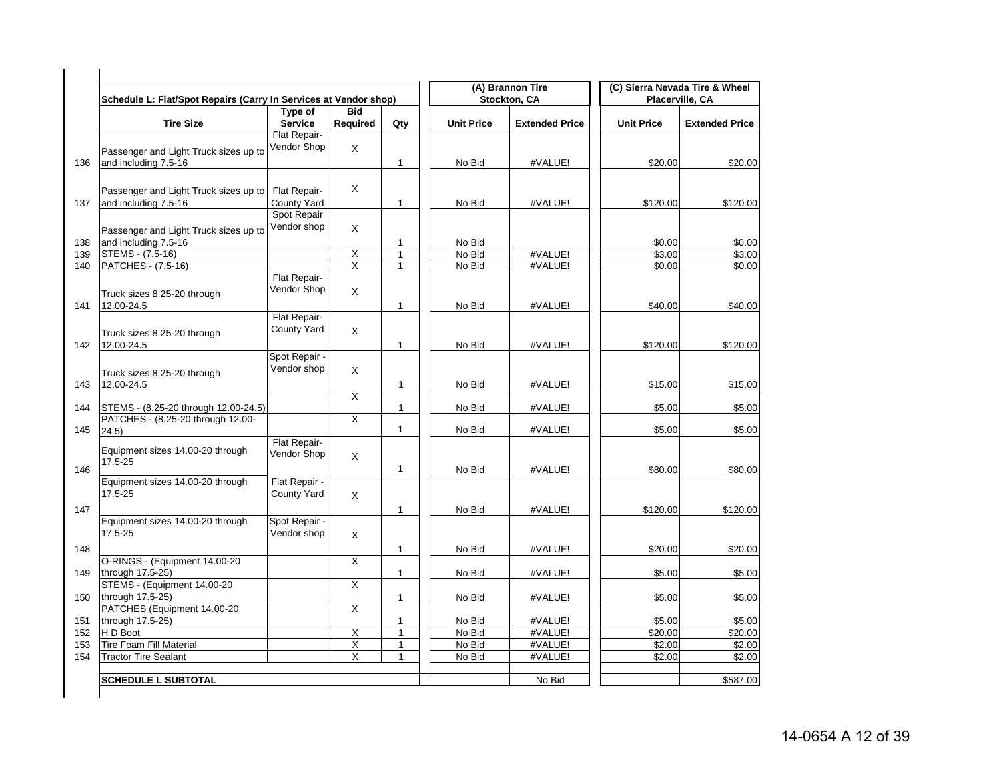| Schedule L: Flat/Spot Repairs (Carry In Services at Vendor shop) |                              |                         |              |                   | (A) Brannon Tire<br>Stockton, CA |                   | (C) Sierra Nevada Tire & Wheel<br>Placerville, CA |
|------------------------------------------------------------------|------------------------------|-------------------------|--------------|-------------------|----------------------------------|-------------------|---------------------------------------------------|
|                                                                  | Type of                      | <b>Bid</b>              |              |                   |                                  |                   |                                                   |
| <b>Tire Size</b>                                                 | Service                      | Required                | Qty          | <b>Unit Price</b> | <b>Extended Price</b>            | <b>Unit Price</b> | <b>Extended Price</b>                             |
|                                                                  | Flat Repair-                 |                         |              |                   |                                  |                   |                                                   |
| Passenger and Light Truck sizes up to                            | Vendor Shop                  | X                       |              |                   |                                  |                   |                                                   |
| and including 7.5-16                                             |                              |                         | $\mathbf{1}$ | No Bid            | #VALUE!                          | \$20.00           | \$20.00                                           |
|                                                                  |                              |                         |              |                   |                                  |                   |                                                   |
| Passenger and Light Truck sizes up to                            | Flat Repair-                 | X                       |              |                   |                                  |                   |                                                   |
| and including 7.5-16                                             | County Yard                  |                         | $\mathbf{1}$ | No Bid            | #VALUE!                          | \$120.00          | \$120.00                                          |
|                                                                  | Spot Repair                  |                         |              |                   |                                  |                   |                                                   |
| Passenger and Light Truck sizes up to                            | Vendor shop                  | X                       |              |                   |                                  |                   |                                                   |
| and including 7.5-16                                             |                              |                         | $\mathbf{1}$ | No Bid            |                                  | \$0.00            | \$0.00                                            |
| STEMS - (7.5-16)                                                 |                              | $\overline{X}$          | $\mathbf{1}$ | No Bid            | #VALUE!                          | \$3.00            | \$3.00                                            |
| PATCHES - (7.5-16)                                               |                              | $\overline{\mathsf{x}}$ | 1            | No Bid            | #VALUE!                          | \$0.00            | \$0.00                                            |
|                                                                  | Flat Repair-                 |                         |              |                   |                                  |                   |                                                   |
| Truck sizes 8.25-20 through                                      | Vendor Shop                  | $\times$                |              |                   |                                  |                   |                                                   |
| 12.00-24.5                                                       |                              |                         | $\mathbf{1}$ | No Bid            | #VALUE!                          | \$40.00           | \$40.00                                           |
|                                                                  | Flat Repair-                 |                         |              |                   |                                  |                   |                                                   |
| Truck sizes 8.25-20 through                                      | County Yard                  | X                       |              |                   |                                  |                   |                                                   |
| 12.00-24.5                                                       |                              |                         | $\mathbf{1}$ | No Bid            | #VALUE!                          | \$120.00          | \$120.00                                          |
|                                                                  | Spot Repair -                |                         |              |                   |                                  |                   |                                                   |
| Truck sizes 8.25-20 through                                      | Vendor shop                  | X                       |              |                   |                                  |                   |                                                   |
| 12.00-24.5                                                       |                              |                         | $\mathbf{1}$ | No Bid            | #VALUE!                          | \$15.00           | \$15.00                                           |
|                                                                  |                              | $\mathsf{X}$            |              |                   |                                  |                   |                                                   |
| STEMS - (8.25-20 through 12.00-24.5)                             |                              |                         | $\mathbf{1}$ | No Bid            | #VALUE!                          | \$5.00            | \$5.00                                            |
| PATCHES - (8.25-20 through 12.00-                                |                              | X                       | $\mathbf{1}$ | No Bid            | #VALUE!                          | \$5.00            | \$5.00                                            |
| 24.5)                                                            | Flat Repair-                 |                         |              |                   |                                  |                   |                                                   |
| Equipment sizes 14.00-20 through                                 | Vendor Shop                  | X                       |              |                   |                                  |                   |                                                   |
| 17.5-25                                                          |                              |                         | $\mathbf{1}$ | No Bid            | #VALUE!                          | \$80.00           | \$80.00                                           |
| Equipment sizes 14.00-20 through                                 | Flat Repair -                |                         |              |                   |                                  |                   |                                                   |
| 17.5-25                                                          | County Yard                  | X                       |              |                   |                                  |                   |                                                   |
|                                                                  |                              |                         |              |                   |                                  |                   |                                                   |
|                                                                  |                              |                         | $\mathbf{1}$ | No Bid            | #VALUE!                          | \$120.00          | \$120.00                                          |
| Equipment sizes 14.00-20 through<br>17.5-25                      | Spot Repair -<br>Vendor shop |                         |              |                   |                                  |                   |                                                   |
|                                                                  |                              | X                       |              |                   |                                  |                   |                                                   |
|                                                                  |                              |                         | 1            | No Bid            | #VALUE!                          | \$20.00           | \$20.00                                           |
| O-RINGS - (Equipment 14.00-20<br>through 17.5-25)                |                              | X                       | $\mathbf{1}$ | No Bid            | #VALUE!                          | \$5.00            | \$5.00                                            |
| STEMS - (Equipment 14.00-20                                      |                              | X                       |              |                   |                                  |                   |                                                   |
| through 17.5-25)                                                 |                              |                         | $\mathbf{1}$ | No Bid            | #VALUE!                          | \$5.00            | \$5.00                                            |
| PATCHES (Equipment 14.00-20                                      |                              | X                       |              |                   |                                  |                   |                                                   |
| through 17.5-25)                                                 |                              |                         | 1            | No Bid            | #VALUE!                          | \$5.00            | \$5.00                                            |
| H D Boot                                                         |                              | X                       | 1            | No Bid            | #VALUE!                          | \$20.00           | \$20.00                                           |
| <b>Tire Foam Fill Material</b>                                   |                              | Χ                       | $\mathbf{1}$ | No Bid            | #VALUE!                          | \$2.00            | \$2.00                                            |
| <b>Tractor Tire Sealant</b>                                      |                              | X                       | $\mathbf{1}$ | No Bid            | #VALUE!                          | \$2.00            | \$2.00                                            |
|                                                                  |                              |                         |              |                   |                                  |                   |                                                   |
| <b>SCHEDULE L SUBTOTAL</b>                                       |                              |                         |              |                   | No Bid                           |                   | \$587.00                                          |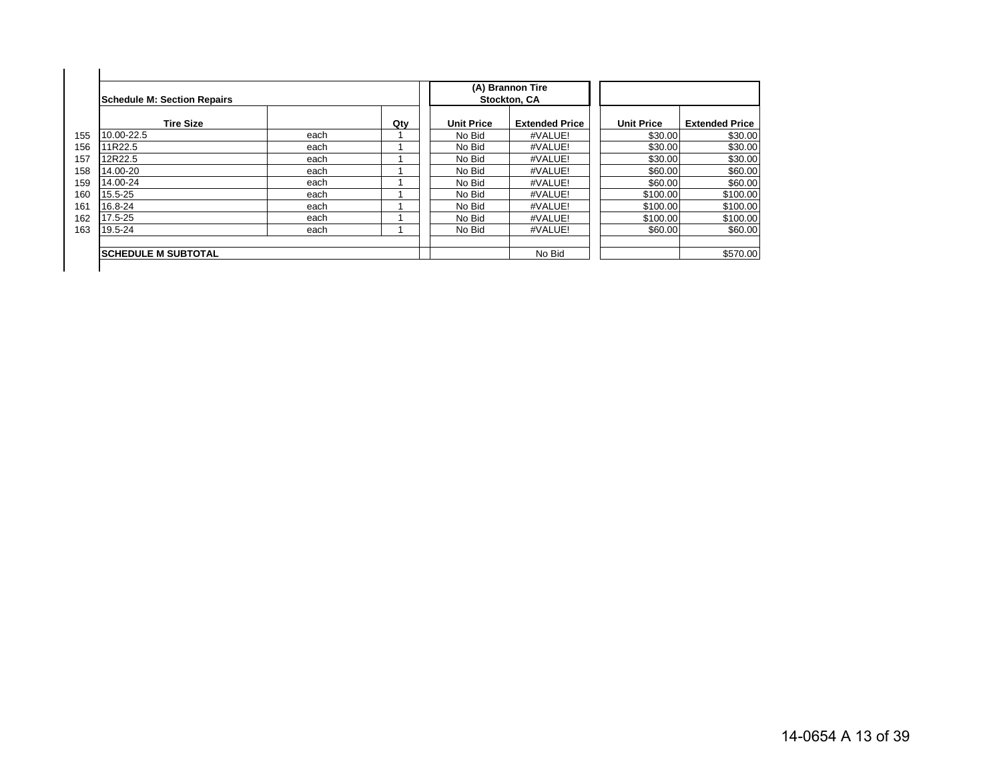|     | Schedule M: Section Repairs |      |     |                   | (A) Brannon Tire<br>Stockton, CA |                   |                       |
|-----|-----------------------------|------|-----|-------------------|----------------------------------|-------------------|-----------------------|
|     | <b>Tire Size</b>            |      | Qty | <b>Unit Price</b> | <b>Extended Price</b>            | <b>Unit Price</b> | <b>Extended Price</b> |
| 155 | 10.00-22.5                  | each |     | No Bid            | #VALUE!                          | \$30.00           | \$30.00               |
| 156 | 11R22.5                     | each |     | No Bid            | #VALUE!                          | \$30.00           | \$30.00               |
| 157 | 12R22.5                     | each |     | No Bid            | #VALUE!                          | \$30.00           | \$30.00               |
| 158 | 14.00-20                    | each |     | No Bid            | #VALUE!                          | \$60.00           | \$60.00               |
| 159 | 14.00-24                    | each |     | No Bid            | #VALUE!                          | \$60.00           | \$60.00               |
| 160 | 15.5-25                     | each |     | No Bid            | #VALUE!                          | \$100.00          | \$100.00              |
| 161 | 16.8-24                     | each |     | No Bid            | #VALUE!                          | \$100.00          | \$100.00              |
| 162 | 17.5-25                     | each |     | No Bid            | #VALUE!                          | \$100.00          | \$100.00              |
| 163 | 19.5-24                     | each |     | No Bid            | #VALUE!                          | \$60.00           | \$60.00               |
|     | <b>ISCHEDULE M SUBTOTAL</b> |      |     |                   | No Bid                           |                   | \$570.00              |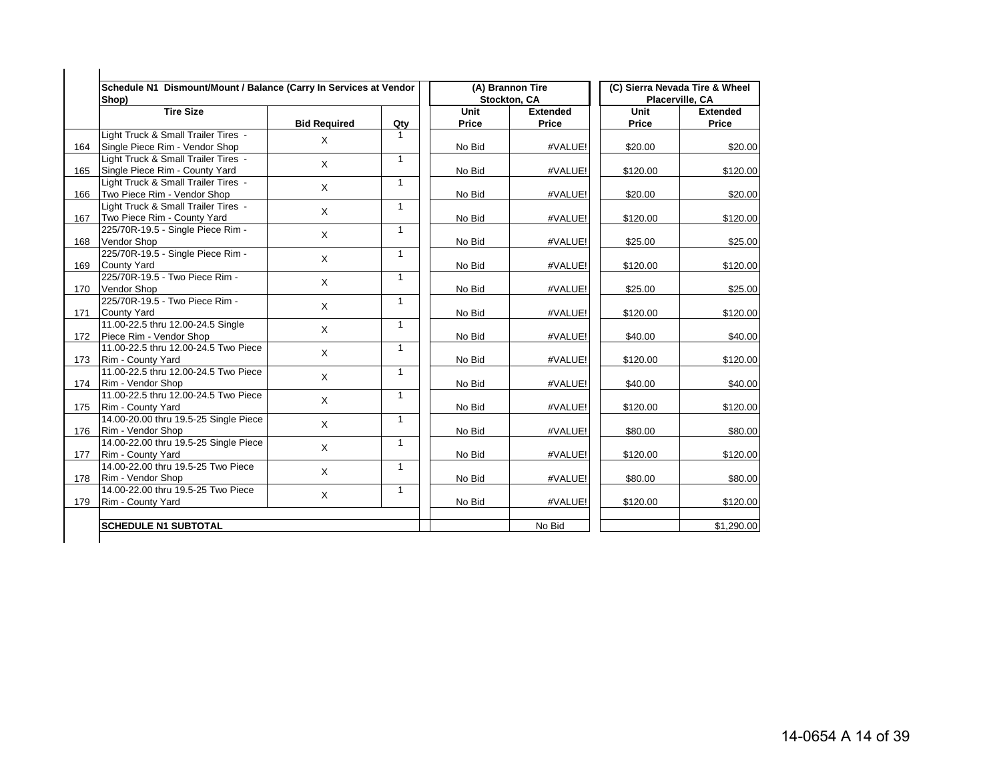|     | Schedule N1 Dismount/Mount / Balance (Carry In Services at Vendor<br>Shop) |                     |              |                      | (A) Brannon Tire<br>Stockton, CA |               | (C) Sierra Nevada Tire & Wheel<br>Placerville, CA |
|-----|----------------------------------------------------------------------------|---------------------|--------------|----------------------|----------------------------------|---------------|---------------------------------------------------|
|     | <b>Tire Size</b>                                                           | <b>Bid Required</b> | Qty          | Unit<br><b>Price</b> | <b>Extended</b><br>Price         | Unit<br>Price | <b>Extended</b><br>Price                          |
| 164 | Light Truck & Small Trailer Tires -<br>Single Piece Rim - Vendor Shop      | X                   | $\mathbf{1}$ | No Bid               | #VALUE!                          | \$20.00       | \$20.00                                           |
| 165 | Light Truck & Small Trailer Tires -<br>Single Piece Rim - County Yard      | X                   | $\mathbf{1}$ | No Bid               | #VALUE!                          | \$120.00      | \$120.00                                          |
| 166 | Light Truck & Small Trailer Tires -<br>Two Piece Rim - Vendor Shop         | X                   | $\mathbf{1}$ | No Bid               | #VALUE!                          | \$20.00       | \$20.00                                           |
| 167 | Light Truck & Small Trailer Tires -<br>Two Piece Rim - County Yard         | $\mathsf X$         | $\mathbf{1}$ | No Bid               | #VALUE!                          | \$120.00      | \$120.00                                          |
| 168 | 225/70R-19.5 - Single Piece Rim -<br><b>Vendor Shop</b>                    | $\sf X$             | $\mathbf{1}$ | No Bid               | #VALUE!                          | \$25.00       | \$25.00                                           |
| 169 | 225/70R-19.5 - Single Piece Rim -<br><b>County Yard</b>                    | $\mathsf X$         | $\mathbf{1}$ | No Bid               | #VALUE!                          | \$120.00      | \$120.00                                          |
| 170 | 225/70R-19.5 - Two Piece Rim -<br><b>Vendor Shop</b>                       | X                   | $\mathbf{1}$ | No Bid               | #VALUE!                          | \$25.00       | \$25.00                                           |
| 171 | 225/70R-19.5 - Two Piece Rim -<br><b>County Yard</b>                       | $\mathsf{X}$        | $\mathbf{1}$ | No Bid               | #VALUE!                          | \$120.00      | \$120.00                                          |
| 172 | 11.00-22.5 thru 12.00-24.5 Single<br>Piece Rim - Vendor Shop               | X                   | $\mathbf{1}$ | No Bid               | #VALUE!                          | \$40.00       | \$40.00                                           |
| 173 | 11.00-22.5 thru 12.00-24.5 Two Piece<br>Rim - County Yard                  | X                   | $\mathbf{1}$ | No Bid               | #VALUE!                          | \$120.00      | \$120.00                                          |
| 174 | 11.00-22.5 thru 12.00-24.5 Two Piece<br>Rim - Vendor Shop                  | X                   | $\mathbf{1}$ | No Bid               | #VALUE!                          | \$40.00       | \$40.00                                           |
| 175 | 11.00-22.5 thru 12.00-24.5 Two Piece<br>Rim - County Yard                  | X                   | $\mathbf{1}$ | No Bid               | #VALUE!                          | \$120.00      | \$120.00                                          |
| 176 | 14.00-20.00 thru 19.5-25 Single Piece<br>Rim - Vendor Shop                 | X                   | $\mathbf{1}$ | No Bid               | #VALUE!                          | \$80.00       | \$80.00                                           |
| 177 | 14.00-22.00 thru 19.5-25 Single Piece<br>Rim - County Yard                 | $\mathsf{X}$        | $\mathbf{1}$ | No Bid               | #VALUE!                          | \$120.00      | \$120.00                                          |
| 178 | 14.00-22.00 thru 19.5-25 Two Piece<br>Rim - Vendor Shop                    | X                   | $\mathbf{1}$ | No Bid               | #VALUE!                          | \$80.00       | \$80.00                                           |
| 179 | 14.00-22.00 thru 19.5-25 Two Piece<br>Rim - County Yard                    | X                   | $\mathbf{1}$ | No Bid               | #VALUE!                          | \$120.00      | \$120.00                                          |
|     | <b>SCHEDULE N1 SUBTOTAL</b>                                                |                     |              |                      | No Bid                           |               | \$1,290.00                                        |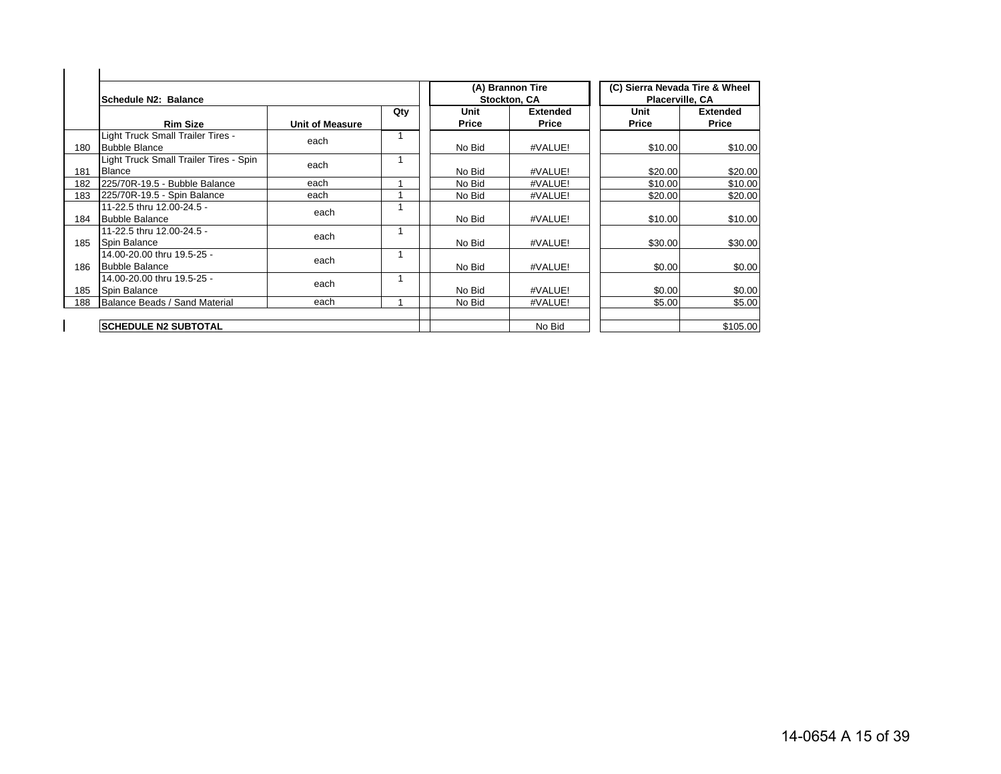|     | Schedule N2: Balance                                      |                        |     |               | (A) Brannon Tire<br><b>Stockton, CA</b> | (C) Sierra Nevada Tire & Wheel<br><b>Placerville, CA</b> |                                 |
|-----|-----------------------------------------------------------|------------------------|-----|---------------|-----------------------------------------|----------------------------------------------------------|---------------------------------|
|     | <b>Rim Size</b>                                           | <b>Unit of Measure</b> | Qty | Unit<br>Price | <b>Extended</b><br><b>Price</b>         | Unit<br>Price                                            | <b>Extended</b><br><b>Price</b> |
| 180 | Light Truck Small Trailer Tires -<br><b>Bubble Blance</b> | each                   |     | No Bid        | #VALUE!                                 | \$10.00                                                  | \$10.00                         |
| 181 | Light Truck Small Trailer Tires - Spin<br><b>Blance</b>   | each                   |     | No Bid        | #VALUE!                                 | \$20.00                                                  | \$20.00                         |
| 182 | 225/70R-19.5 - Bubble Balance                             | each                   |     | No Bid        | #VALUE!                                 | \$10.00                                                  | \$10.00                         |
| 183 | 225/70R-19.5 - Spin Balance                               | each                   |     | No Bid        | #VALUE!                                 | \$20.00                                                  | \$20.00                         |
| 184 | 11-22.5 thru 12.00-24.5 -<br><b>Bubble Balance</b>        | each                   |     | No Bid        | #VALUE!                                 | \$10.00                                                  | \$10.00                         |
| 185 | 11-22.5 thru 12.00-24.5 -<br><b>Spin Balance</b>          | each                   |     | No Bid        | #VALUE!                                 | \$30.00                                                  | \$30.00                         |
| 186 | 14.00-20.00 thru 19.5-25 -<br><b>Bubble Balance</b>       | each                   |     | No Bid        | #VALUE!                                 | \$0.00                                                   | \$0.00                          |
| 185 | 14.00-20.00 thru 19.5-25 -<br>Spin Balance                | each                   |     | No Bid        | #VALUE!                                 | \$0.00                                                   | \$0.00                          |
| 188 | Balance Beads / Sand Material                             | each                   |     | No Bid        | #VALUE!                                 | \$5.00                                                   | \$5.00                          |
|     | <b>SCHEDULE N2 SUBTOTAL</b>                               |                        |     |               | No Bid                                  |                                                          | \$105.00                        |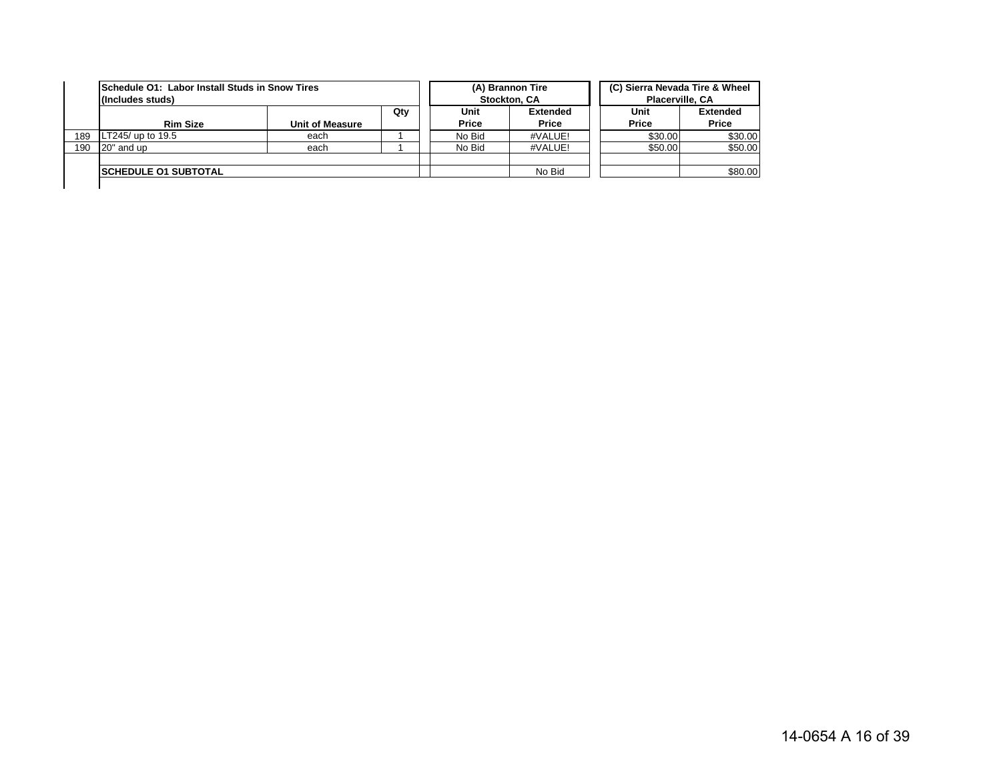|     | <b>ISchedule O1: Labor Install Studs in Snow Tires</b><br>(Includes studs) |                        |     |              | (A) Brannon Tire<br>Stockton, CA | (C) Sierra Nevada Tire & Wheel<br>Placerville, CA |              |                 |  |
|-----|----------------------------------------------------------------------------|------------------------|-----|--------------|----------------------------------|---------------------------------------------------|--------------|-----------------|--|
|     |                                                                            |                        | Qty | Unit         | <b>Extended</b>                  |                                                   | Unit         | <b>Extended</b> |  |
|     | <b>Rim Size</b>                                                            | <b>Unit of Measure</b> |     | <b>Price</b> | Price                            |                                                   | <b>Price</b> | Price           |  |
| 189 | LT245/ up to $19.5$                                                        | each                   |     | No Bid       | #VALUE!                          |                                                   | \$30.00      | \$30.00         |  |
| 190 | 20" and up                                                                 | each                   |     | No Bid       | #VALUE!                          |                                                   | \$50.00      | \$50.00         |  |
|     |                                                                            |                        |     |              |                                  |                                                   |              |                 |  |
|     | <b>ISCHEDULE 01 SUBTOTAL</b>                                               |                        |     |              | No Bid                           |                                                   |              | \$80.00         |  |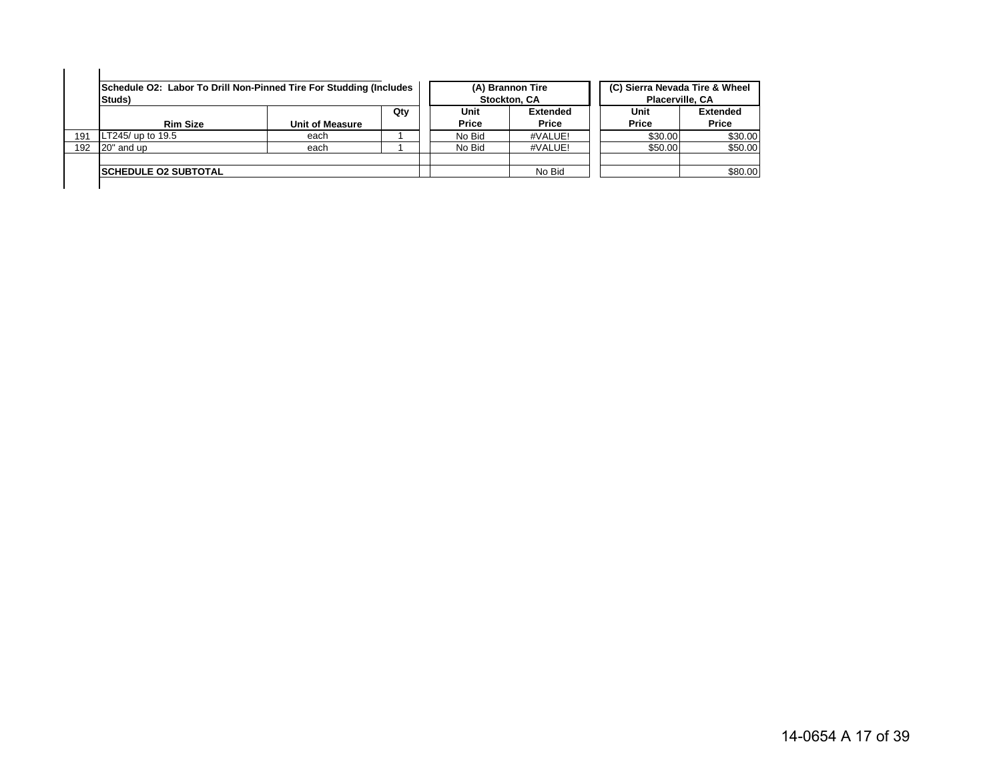|     | Schedule O2: Labor To Drill Non-Pinned Tire For Studding (Includes<br>Studs) |                        |     |               | (A) Brannon Tire<br><b>Stockton, CA</b> | (C) Sierra Nevada Tire & Wheel<br>Placerville, CA |                          |
|-----|------------------------------------------------------------------------------|------------------------|-----|---------------|-----------------------------------------|---------------------------------------------------|--------------------------|
|     | <b>Rim Size</b>                                                              | <b>Unit of Measure</b> | Qtv | Unit<br>Price | <b>Extended</b><br>Price                | Unit<br>Price                                     | <b>Extended</b><br>Price |
| 191 | LT245/ up to 19.5                                                            | each                   |     | No Bid        | #VALUE!                                 | \$30.00                                           | \$30.00                  |
| 192 | 20" and up                                                                   | each                   |     | No Bid        | #VALUE!                                 | \$50.00                                           | \$50.00                  |
|     | <b>ISCHEDULE 02 SUBTOTAL</b>                                                 |                        |     |               | No Bid                                  |                                                   | \$80.00                  |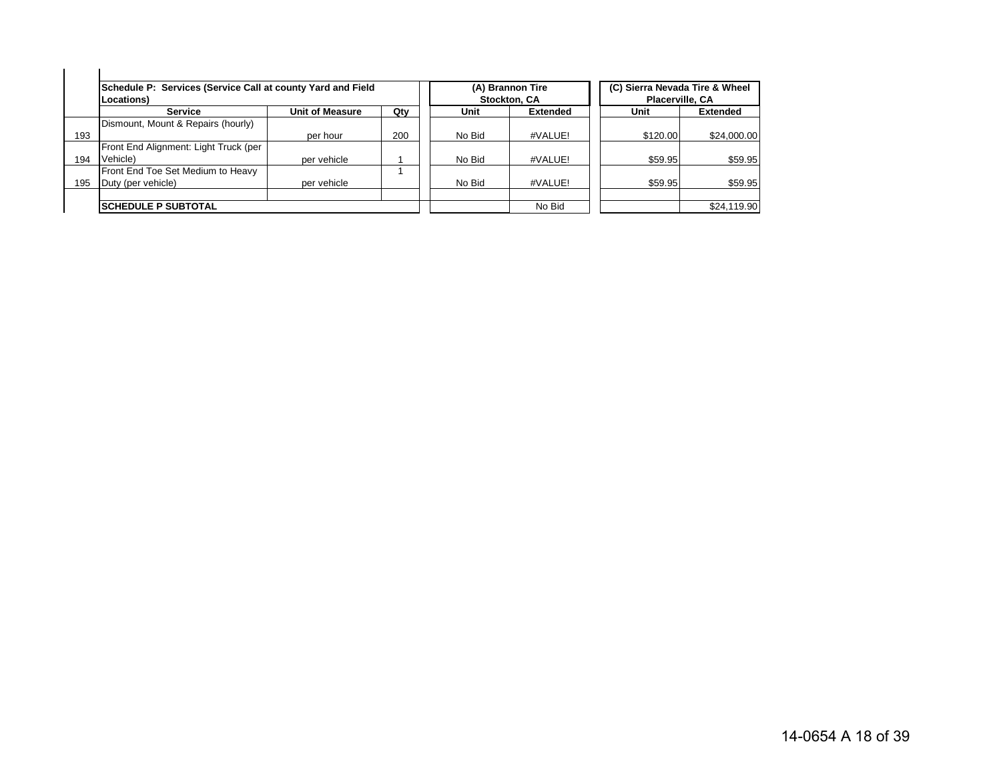|     | Schedule P: Services (Service Call at county Yard and Field<br>Locations) |                        |     |        | (A) Brannon Tire<br>Stockton, CA | (C) Sierra Nevada Tire & Wheel<br>Placerville, CA |                 |
|-----|---------------------------------------------------------------------------|------------------------|-----|--------|----------------------------------|---------------------------------------------------|-----------------|
|     | <b>Service</b>                                                            | <b>Unit of Measure</b> | Qty | Unit   | <b>Extended</b>                  | Unit                                              | <b>Extended</b> |
|     | Dismount, Mount & Repairs (hourly)                                        |                        |     |        |                                  |                                                   |                 |
| 193 |                                                                           | per hour               | 200 | No Bid | #VALUE!                          | \$120.00                                          | \$24,000.00     |
|     | Front End Alignment: Light Truck (per                                     |                        |     |        |                                  |                                                   |                 |
| 194 | Vehicle)                                                                  | per vehicle            |     | No Bid | #VALUE!                          | \$59.95                                           | \$59.95         |
|     | Front End Toe Set Medium to Heavy                                         |                        |     |        |                                  |                                                   |                 |
| 195 | Duty (per vehicle)                                                        | per vehicle            |     | No Bid | #VALUE!                          | \$59.95                                           | \$59.95         |
|     |                                                                           |                        |     |        |                                  |                                                   |                 |
|     | <b>ISCHEDULE P SUBTOTAL</b>                                               |                        |     |        | No Bid                           |                                                   | \$24,119.90     |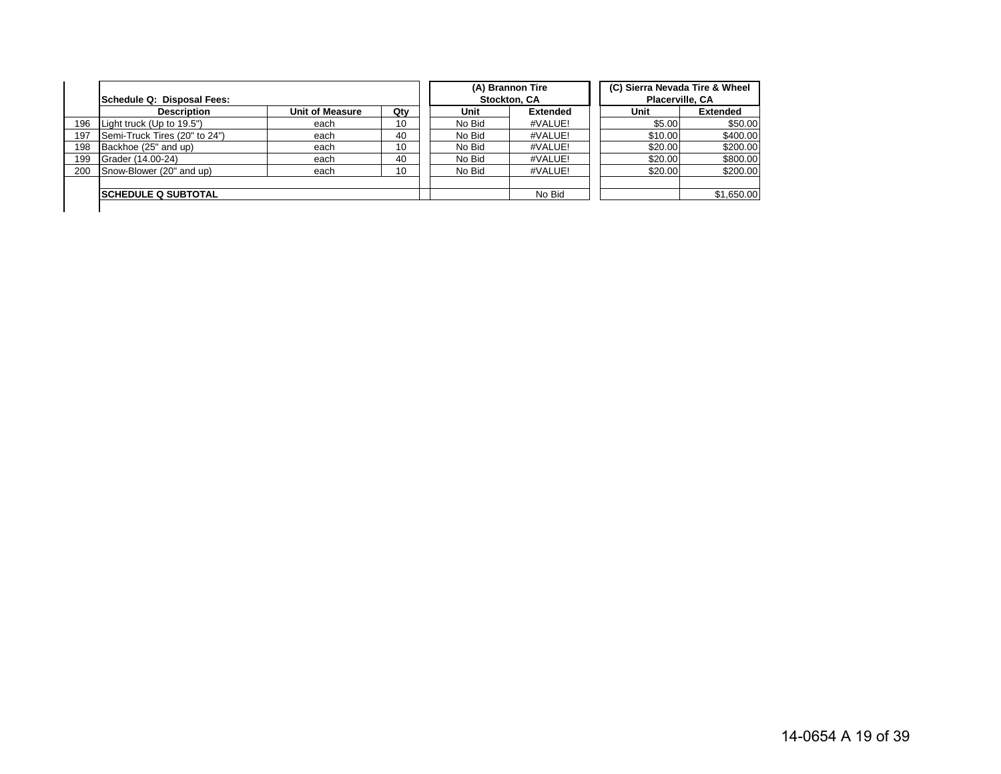|     | Schedule Q: Disposal Fees:    |                        |     |        | (A) Brannon Tire<br>Stockton, CA | (C) Sierra Nevada Tire & Wheel<br>Placerville, CA |                 |
|-----|-------------------------------|------------------------|-----|--------|----------------------------------|---------------------------------------------------|-----------------|
|     | <b>Description</b>            | <b>Unit of Measure</b> | Qty | Unit   | <b>Extended</b>                  | Unit                                              | <b>Extended</b> |
| 196 | Light truck (Up to 19.5")     | each                   | 10  | No Bid | #VALUE!                          | \$5.00                                            | \$50.00         |
| 197 | Semi-Truck Tires (20" to 24") | each                   | 40  | No Bid | #VALUE!                          | \$10.00                                           | \$400.00        |
| 198 | Backhoe (25" and up)          | each                   | 10  | No Bid | #VALUE!                          | \$20.00                                           | \$200.00        |
| 199 | Grader (14.00-24)             | each                   | 40  | No Bid | #VALUE!                          | \$20.00                                           | \$800.00        |
| 200 | Snow-Blower (20" and up)      | each                   | 10  | No Bid | #VALUE!                          | \$20.00                                           | \$200.00        |
|     |                               |                        |     |        |                                  |                                                   |                 |
|     | <b>ISCHEDULE Q SUBTOTAL</b>   |                        |     |        | No Bid                           |                                                   | \$1,650.00      |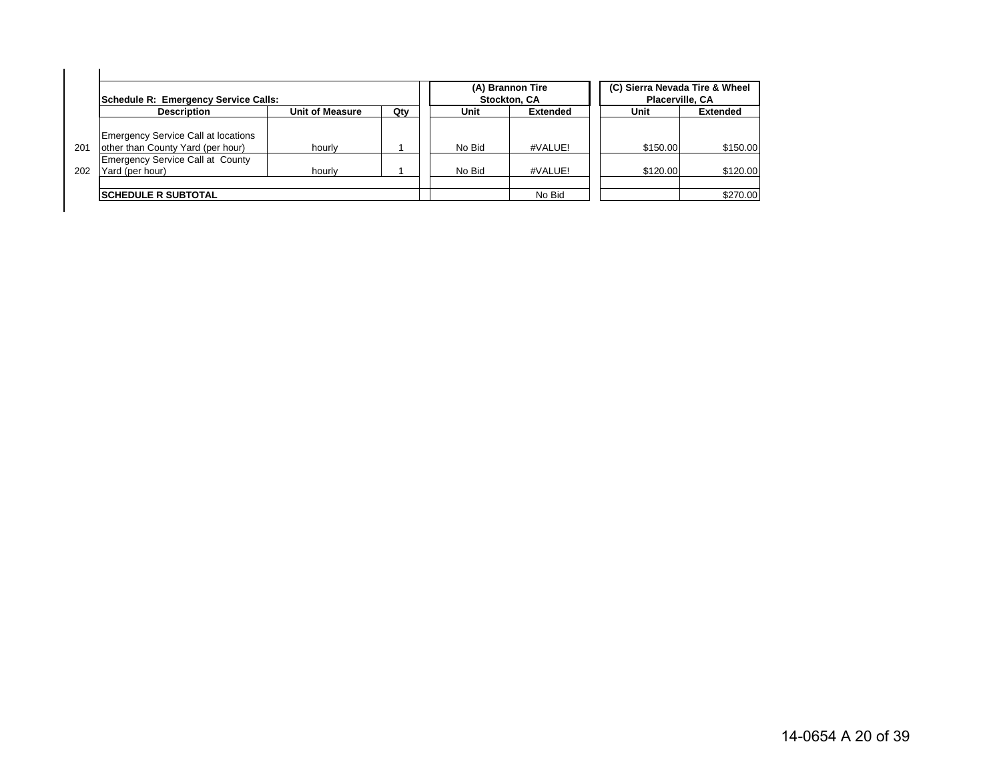|     | Schedule R: Emergency Service Calls:                                     |                        |     |        | (A) Brannon Tire<br><b>Stockton, CA</b> | (C) Sierra Nevada Tire & Wheel<br>Placerville, CA |                 |
|-----|--------------------------------------------------------------------------|------------------------|-----|--------|-----------------------------------------|---------------------------------------------------|-----------------|
|     | <b>Description</b>                                                       | <b>Unit of Measure</b> | Qty | Unit   | <b>Extended</b>                         | Unit                                              | <b>Extended</b> |
| 201 | Emergency Service Call at locations<br>other than County Yard (per hour) | hourly                 |     | No Bid | #VALUE!                                 | \$150.00                                          | \$150.00        |
| 202 | Emergency Service Call at County<br>Yard (per hour)                      | hourly                 |     | No Bid | #VALUE!                                 | \$120.00                                          | \$120.00        |
|     | <b>ISCHEDULE R SUBTOTAL</b>                                              |                        |     |        | No Bid                                  |                                                   | \$270.00        |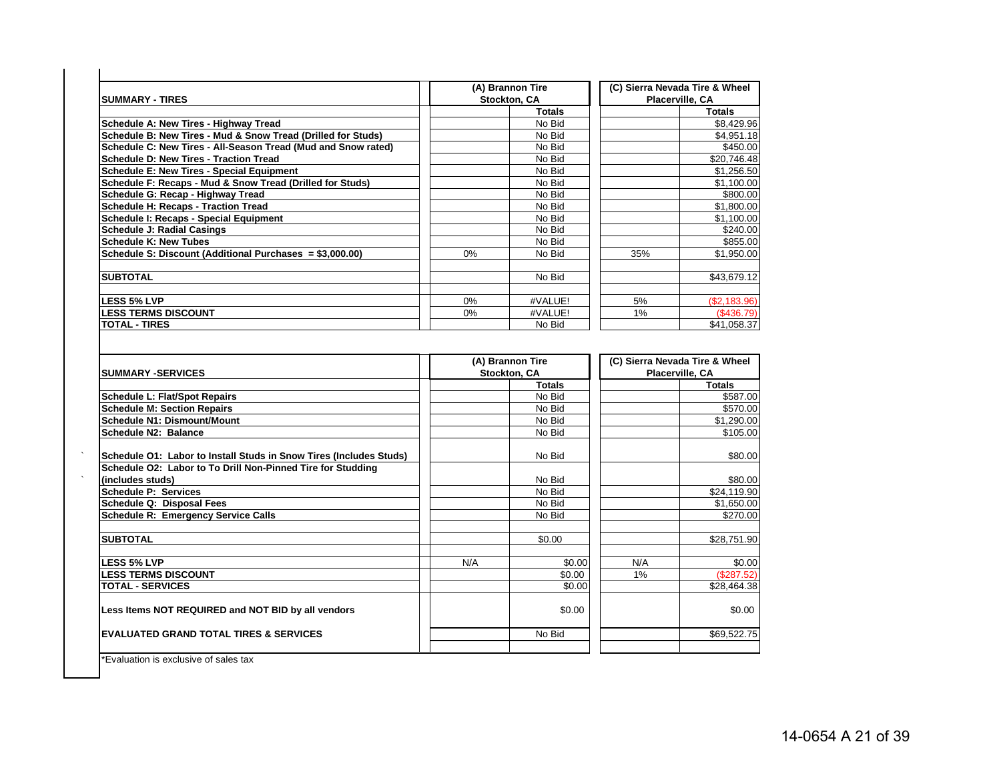| <b>ISUMMARY - TIRES</b>                                       |    | (A) Brannon Tire<br>Stockton, CA |     | (C) Sierra Nevada Tire & Wheel<br>Placerville, CA |
|---------------------------------------------------------------|----|----------------------------------|-----|---------------------------------------------------|
|                                                               |    | <b>Totals</b>                    |     | <b>Totals</b>                                     |
| Schedule A: New Tires - Highway Tread                         |    | No Bid                           |     | \$8,429.96                                        |
| Schedule B: New Tires - Mud & Snow Tread (Drilled for Studs)  |    | No Bid                           |     | \$4,951.18                                        |
| Schedule C: New Tires - All-Season Tread (Mud and Snow rated) |    | No Bid                           |     | \$450.00                                          |
| <b>Schedule D: New Tires - Traction Tread</b>                 |    | No Bid                           |     | \$20,746.48                                       |
| <b>Schedule E: New Tires - Special Equipment</b>              |    | No Bid                           |     | \$1,256.50                                        |
| Schedule F: Recaps - Mud & Snow Tread (Drilled for Studs)     |    | No Bid                           |     | \$1,100.00                                        |
| Schedule G: Recap - Highway Tread                             |    | No Bid                           |     | \$800.00                                          |
| Schedule H: Recaps - Traction Tread                           |    | No Bid                           |     | \$1,800.00                                        |
| Schedule I: Recaps - Special Equipment                        |    | No Bid                           |     | \$1,100.00                                        |
| Schedule J: Radial Casings                                    |    | No Bid                           |     | \$240.00                                          |
| <b>Schedule K: New Tubes</b>                                  |    | No Bid                           |     | \$855.00                                          |
| Schedule S: Discount (Additional Purchases = \$3,000.00)      | 0% | No Bid                           | 35% | \$1,950.00                                        |
| <b>SUBTOTAL</b>                                               |    | No Bid                           |     | \$43,679.12                                       |
| <b>LESS 5% LVP</b>                                            | 0% | #VALUE!                          | 5%  | (\$2,183.96)                                      |
| <b>LESS TERMS DISCOUNT</b>                                    | 0% | #VALUE!                          | 1%  | (\$436.79)                                        |
| <b>TOTAL - TIRES</b>                                          |    | No Bid                           |     | \$41,058.37                                       |

|     |               |                                  | (C) Sierra Nevada Tire & Wheel |
|-----|---------------|----------------------------------|--------------------------------|
|     |               |                                  | Placerville, CA                |
|     | <b>Totals</b> |                                  | Totals                         |
|     | No Bid        |                                  | \$587.00                       |
|     | No Bid        |                                  | \$570.00                       |
|     | No Bid        |                                  | \$1,290.00                     |
|     | No Bid        |                                  | \$105.00                       |
|     | No Bid        |                                  | \$80.00                        |
|     |               |                                  |                                |
|     | No Bid        |                                  | \$80.00                        |
|     | No Bid        |                                  | \$24,119.90                    |
|     | No Bid        |                                  | \$1,650.00                     |
|     | No Bid        |                                  | \$270.00                       |
|     | \$0.00        |                                  | \$28,751.90                    |
| N/A | \$0.00        | N/A                              | \$0.00                         |
|     | \$0.00        | 1%                               | (\$287.52)                     |
|     | \$0.00        |                                  | \$28,464.38                    |
|     | \$0.00        |                                  | \$0.00                         |
|     | No Bid        |                                  | \$69,522.75                    |
|     |               | (A) Brannon Tire<br>Stockton, CA |                                |

\*Evaluation is exclusive of sales tax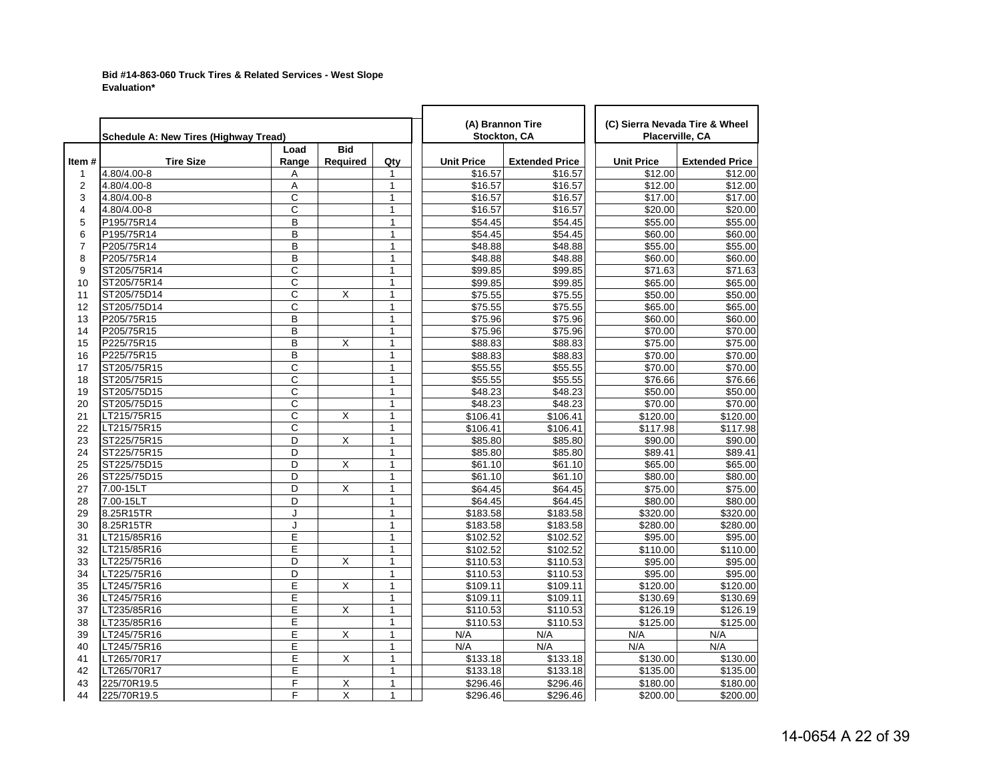## **Bid #14-863-060 Truck Tires & Related Services - West Slope Evaluation\***

|                         | <b>Schedule A: New Tires (Highway Tread)</b> |                       |                        |              |                   | (A) Brannon Tire<br>Stockton, CA | (C) Sierra Nevada Tire & Wheel<br>Placerville, CA |                       |
|-------------------------|----------------------------------------------|-----------------------|------------------------|--------------|-------------------|----------------------------------|---------------------------------------------------|-----------------------|
| Item#                   | <b>Tire Size</b>                             | Load<br>Range         | <b>Bid</b><br>Required | Qty          | <b>Unit Price</b> | <b>Extended Price</b>            | <b>Unit Price</b>                                 | <b>Extended Price</b> |
| $\mathbf{1}$            | 4.80/4.00-8                                  | Α                     |                        | $\mathbf{1}$ | \$16.57           | \$16.57                          | \$12.00                                           | \$12.00               |
| 2                       | 4.80/4.00-8                                  | A                     |                        | $\mathbf{1}$ | \$16.57           | \$16.57                          | \$12.00                                           | \$12.00               |
| 3                       | 4.80/4.00-8                                  | C                     |                        | $\mathbf{1}$ | \$16.57           | \$16.57                          | \$17.00                                           | \$17.00               |
| $\overline{\mathbf{4}}$ | 4.80/4.00-8                                  | C                     |                        | $\mathbf{1}$ | \$16.57           | \$16.57                          | \$20.00                                           | \$20.00               |
| 5                       | P195/75R14                                   | B                     |                        | $\mathbf{1}$ | \$54.45           | \$54.45                          | \$55.00                                           | \$55.00               |
| 6                       | P195/75R14                                   | B                     |                        | $\mathbf{1}$ | \$54.45           | \$54.45                          | \$60.00                                           | \$60.00               |
| $\overline{7}$          | P205/75R14                                   | B                     |                        | $\mathbf{1}$ | \$48.88           | \$48.88                          | \$55.00                                           | \$55.00               |
| 8                       | P205/75R14                                   | B                     |                        | $\mathbf{1}$ | \$48.88           | \$48.88                          | \$60.00                                           | \$60.00               |
| 9                       | ST205/75R14                                  | $\overline{\rm c}$    |                        | $\mathbf{1}$ | \$99.85           | \$99.85                          | \$71.63                                           | \$71.63               |
| 10                      | ST205/75R14                                  | C                     |                        | 1            | \$99.85           | \$99.85                          | \$65.00                                           | \$65.00               |
| 11                      | ST205/75D14                                  | $\overline{\text{c}}$ | X                      | 1            | \$75.55           | \$75.55                          | \$50.00                                           | \$50.00               |
| 12                      | ST205/75D14                                  | C                     |                        | 1            | \$75.55           | \$75.55                          | \$65.00                                           | \$65.00               |
| 13                      | P205/75R15                                   | B                     |                        | $\mathbf{1}$ | \$75.96           | $\overline{$}75.96$              | \$60.00                                           | \$60.00               |
| 14                      | P205/75R15                                   | B                     |                        | $\mathbf{1}$ | \$75.96           | \$75.96                          | \$70.00                                           | \$70.00               |
| 15                      | P225/75R15                                   | B                     | X                      | $\mathbf{1}$ | \$88.83           | \$88.83                          | \$75.00                                           | \$75.00               |
| 16                      | P225/75R15                                   | B                     |                        | $\mathbf{1}$ | \$88.83           | \$88.83                          | \$70.00                                           | \$70.00               |
| 17                      | ST205/75R15                                  | C                     |                        | $\mathbf{1}$ | \$55.55           | \$55.55                          | \$70.00                                           | \$70.00               |
| 18                      | ST205/75R15                                  | C                     |                        | $\mathbf{1}$ | \$55.55           | \$55.55                          | \$76.66                                           | \$76.66               |
| 19                      | ST205/75D15                                  | C                     |                        | $\mathbf{1}$ | \$48.23           | \$48.23                          | \$50.00                                           | \$50.00               |
| 20                      | ST205/75D15                                  | C                     |                        | $\mathbf{1}$ | \$48.23           | \$48.23                          | \$70.00                                           | \$70.00               |
| 21                      | LT215/75R15                                  | C                     | X                      | $\mathbf{1}$ | \$106.41          | \$106.41                         | \$120.00                                          | \$120.00              |
| 22                      | LT215/75R15                                  | Ċ                     |                        | $\mathbf{1}$ | \$106.41          | \$106.41                         | \$117.98                                          | \$117.98              |
| 23                      | ST225/75R15                                  | D                     | X                      | $\mathbf{1}$ | \$85.80           | \$85.80                          | \$90.00                                           | \$90.00               |
| 24                      | ST225/75R15                                  | D                     |                        | 1            | \$85.80           | \$85.80                          | \$89.41                                           | \$89.41               |
| 25                      | ST225/75D15                                  | D                     | Χ                      | 1            | \$61.10           | \$61.10                          | \$65.00                                           | \$65.00               |
| 26                      | ST225/75D15                                  | D                     |                        | $\mathbf{1}$ | \$61.10           | \$61.10                          | \$80.00                                           | \$80.00               |
| 27                      | 7.00-15LT                                    | D                     | X                      | $\mathbf{1}$ | \$64.45           | \$64.45                          | \$75.00                                           | \$75.00               |
| 28                      | 7.00-15LT                                    | D                     |                        | $\mathbf{1}$ | \$64.45           | \$64.45                          | \$80.00                                           | \$80.00               |
| 29                      | 8.25R15TR                                    | J                     |                        | 1            | \$183.58          | \$183.58                         | \$320.00                                          | \$320.00              |
| 30                      | 8.25R15TR                                    | J                     |                        | $\mathbf{1}$ | \$183.58          | \$183.58                         | \$280.00                                          | 3280.00               |
| 31                      | LT215/85R16                                  | Е                     |                        | $\mathbf{1}$ | \$102.52          | \$102.52                         | \$95.00                                           | \$95.00               |
| 32                      | LT215/85R16                                  | E                     |                        | $\mathbf{1}$ | \$102.52          | $\overline{$}102.52$             | $\overline{$}110.00$                              | \$110.00              |
| 33                      | LT225/75R16                                  | D                     | X                      | 1            | \$110.53          | \$110.53                         | \$95.00                                           | \$95.00               |
| 34                      | LT225/75R16                                  | D                     |                        | $\mathbf{1}$ | \$110.53          | \$110.53                         | \$95.00                                           | \$95.00               |
| 35                      | LT245/75R16                                  | E                     | X                      | $\mathbf{1}$ | \$109.11          | \$109.11                         | \$120.00                                          | \$120.00              |
| 36                      | LT245/75R16                                  | E                     |                        | $\mathbf{1}$ | \$109.11          | \$109.11                         | \$130.69                                          | \$130.69              |
| 37                      | LT235/85R16                                  | E                     | X                      | $\mathbf{1}$ | \$110.53          | \$110.53                         | \$126.19                                          | \$126.19              |
| 38                      | LT235/85R16                                  | E                     |                        | $\mathbf{1}$ | \$110.53          | \$110.53                         | \$125.00                                          | \$125.00              |
| 39                      | LT245/75R16                                  | Ε                     | Χ                      | $\mathbf{1}$ | N/A               | N/A                              | N/A                                               | N/A                   |
| 40                      | LT245/75R16                                  | E                     |                        | $\mathbf{1}$ | N/A               | N/A                              | N/A                                               | N/A                   |
| 41                      | LT265/70R17                                  | E                     | X                      | $\mathbf{1}$ | \$133.18          | \$133.18                         | \$130.00                                          | \$130.00              |
| 42                      | LT265/70R17                                  | Ε                     |                        | $\mathbf{1}$ | \$133.18          | \$133.18                         | \$135.00                                          | \$135.00              |
| 43                      | 225/70R19.5                                  | F                     | Χ                      | $\mathbf{1}$ | \$296.46          | \$296.46                         | \$180.00                                          | \$180.00              |
| 44                      | 225/70R19.5                                  | F                     | $\overline{X}$         | 1            | \$296.46          | \$296.46                         | \$200.00                                          | \$200.00              |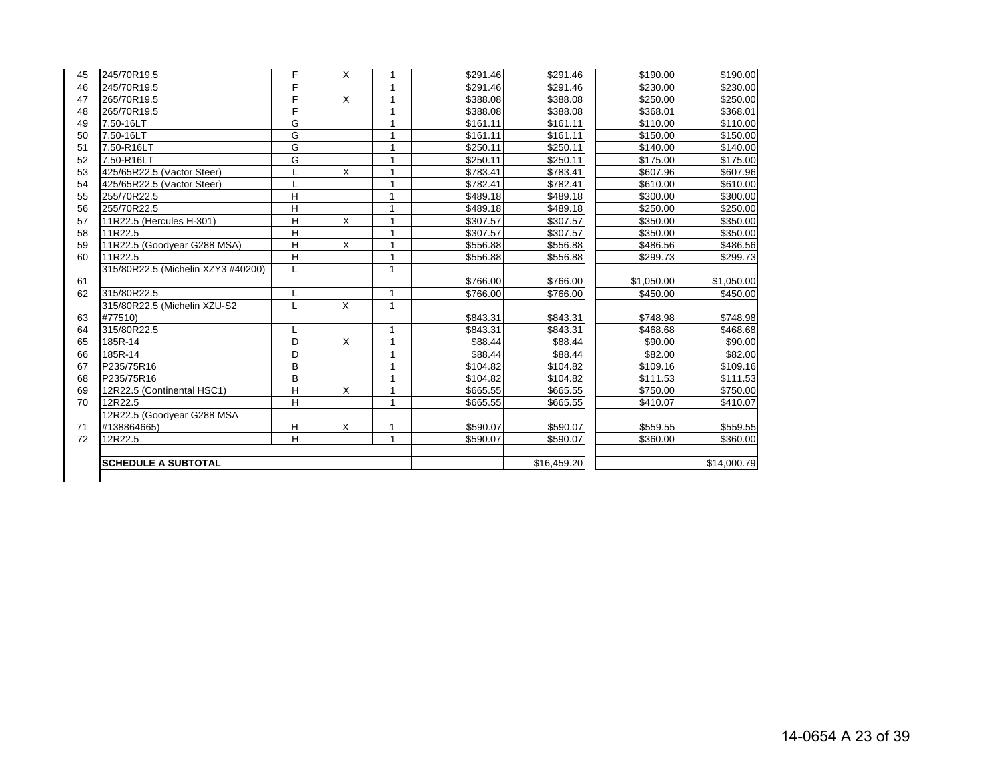| 45 | 245/70R19.5                        | F              | X | 1            | \$291.46 | \$291.46    | \$190.00   | \$190.00    |
|----|------------------------------------|----------------|---|--------------|----------|-------------|------------|-------------|
| 46 | 245/70R19.5                        | F              |   | 1            | \$291.46 | \$291.46    | \$230.00   | \$230.00    |
| 47 | 265/70R19.5                        | F              | X |              | \$388.08 | \$388.08    | \$250.00   | \$250.00    |
| 48 | 265/70R19.5                        | F              |   | 1            | \$388.08 | \$388.08    | \$368.01   | \$368.01    |
| 49 | 7.50-16LT                          | G              |   |              | \$161.11 | \$161.11    | \$110.00   | \$110.00    |
| 50 | 7.50-16LT                          | G              |   | 1            | \$161.11 | \$161.11    | \$150.00   | \$150.00    |
| 51 | 7.50-R16LT                         | G              |   | 1            | \$250.11 | \$250.11    | \$140.00   | \$140.00    |
| 52 | 7.50-R16LT                         | G              |   | 1            | \$250.11 | \$250.11    | \$175.00   | \$175.00    |
| 53 | 425/65R22.5 (Vactor Steer)         |                | X |              | \$783.41 | \$783.41    | \$607.96   | \$607.96    |
| 54 | 425/65R22.5 (Vactor Steer)         |                |   | 1            | \$782.41 | \$782.41    | \$610.00   | \$610.00    |
| 55 | 255/70R22.5                        | Η              |   | 1            | \$489.18 | \$489.18    | \$300.00   | \$300.00    |
| 56 | 255/70R22.5                        | H              |   | 1            | \$489.18 | \$489.18    | \$250.00   | \$250.00    |
| 57 | 11R22.5 (Hercules H-301)           | $\overline{H}$ | X |              | \$307.57 | \$307.57    | \$350.00   | \$350.00    |
| 58 | 11R22.5                            | H              |   | 1            | \$307.57 | \$307.57    | \$350.00   | \$350.00    |
| 59 | 11R22.5 (Goodyear G288 MSA)        | $\overline{H}$ | X | 1            | \$556.88 | \$556.88    | \$486.56   | \$486.56    |
| 60 | 11R22.5                            | Н              |   | 1            | \$556.88 | \$556.88    | \$299.73   | \$299.73    |
|    | 315/80R22.5 (Michelin XZY3 #40200) | L              |   | 1            |          |             |            |             |
| 61 |                                    |                |   |              | \$766.00 | \$766.00    | \$1,050.00 | \$1,050.00  |
| 62 | 315/80R22.5                        |                |   | 1            | \$766.00 | \$766.00    | \$450.00   | \$450.00    |
|    | 315/80R22.5 (Michelin XZU-S2       |                | X | $\mathbf{1}$ |          |             |            |             |
| 63 | #77510)                            |                |   |              | \$843.31 | \$843.31    | \$748.98   | \$748.98    |
| 64 | 315/80R22.5                        |                |   | 1            | \$843.31 | \$843.31    | \$468.68   | \$468.68    |
| 65 | 185R-14                            | D              | X | 1            | \$88.44  | \$88.44     | \$90.00    | \$90.00     |
| 66 | 185R-14                            | D              |   | 1            | \$88.44  | \$88.44     | \$82.00    | \$82.00     |
| 67 | P235/75R16                         | B              |   |              | \$104.82 | \$104.82    | \$109.16   | \$109.16    |
| 68 | P235/75R16                         | B              |   | 1            | \$104.82 | \$104.82    | \$111.53   | \$111.53    |
| 69 | 12R22.5 (Continental HSC1)         | $\overline{H}$ | X |              | \$665.55 | \$665.55    | \$750.00   | \$750.00    |
| 70 | 12R22.5                            | H              |   | 1            | \$665.55 | \$665.55    | \$410.07   | \$410.07    |
|    | 12R22.5 (Goodyear G288 MSA         |                |   |              |          |             |            |             |
| 71 | #138864665)                        | н              | X | 1            | \$590.07 | \$590.07    | \$559.55   | \$559.55    |
| 72 | 12R22.5                            | H              |   | 1            | \$590.07 | \$590.07    | \$360.00   | \$360.00    |
|    |                                    |                |   |              |          |             |            |             |
|    | <b>SCHEDULE A SUBTOTAL</b>         |                |   |              |          | \$16,459.20 |            | \$14,000.79 |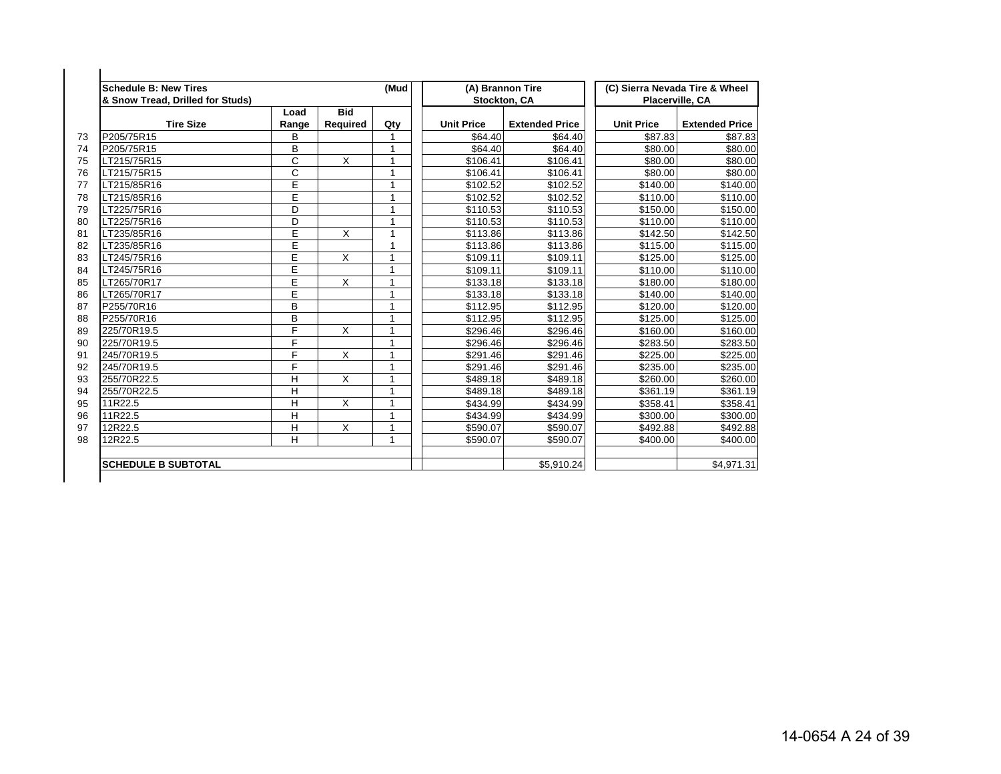| <b>Schedule B: New Tires</b><br>& Snow Tread, Drilled for Studs) |       |                 | (Mud                    |                   | (A) Brannon Tire<br>Stockton, CA |                   | (C) Sierra Nevada Tire & Wheel<br>Placerville, CA |
|------------------------------------------------------------------|-------|-----------------|-------------------------|-------------------|----------------------------------|-------------------|---------------------------------------------------|
| <b>Tire Size</b>                                                 | Load  | <b>Bid</b>      |                         | <b>Unit Price</b> |                                  | <b>Unit Price</b> | <b>Extended Price</b>                             |
|                                                                  | Range | <b>Required</b> | Qty                     |                   | <b>Extended Price</b>            |                   |                                                   |
| P205/75R15                                                       | B     |                 |                         | \$64.40           | \$64.40                          | \$87.83           | \$87.83                                           |
| P205/75R15                                                       | B     |                 |                         | \$64.40           | \$64.40                          | \$80.00           | \$80.00                                           |
| LT215/75R15                                                      | C     | X               |                         | \$106.41          | \$106.41                         | \$80.00           | \$80.00                                           |
| LT215/75R15                                                      | C     |                 |                         | \$106.41          | \$106.41                         | \$80.00           | \$80.00                                           |
| LT215/85R16                                                      | E     |                 | $\overline{\mathbf{A}}$ | \$102.52          | \$102.52                         | \$140.00          | \$140.00                                          |
| LT215/85R16                                                      | E     |                 |                         | \$102.52          | \$102.52                         | \$110.00          | \$110.00                                          |
| LT225/75R16                                                      | D     |                 | 1                       | \$110.53          | \$110.53                         | \$150.00          | \$150.00                                          |
| LT225/75R16                                                      | D     |                 |                         | \$110.53          | \$110.53                         | \$110.00          | \$110.00                                          |
| LT235/85R16                                                      | E     | X               |                         | \$113.86          | \$113.86                         | \$142.50          | \$142.50                                          |
| LT235/85R16                                                      | E     |                 |                         | \$113.86          | \$113.86                         | \$115.00          | \$115.00                                          |
| LT245/75R16                                                      | E     | X               |                         | \$109.11          | \$109.11                         | \$125.00          | \$125.00                                          |
| LT245/75R16                                                      | E     |                 |                         | \$109.11          | \$109.11                         | \$110.00          | \$110.00                                          |
| LT265/70R17                                                      | E     | X               |                         | \$133.18          | \$133.18                         | \$180.00          | \$180.00                                          |
| LT265/70R17                                                      | E     |                 |                         | \$133.18          | \$133.18                         | \$140.00          | \$140.00                                          |
| P255/70R16                                                       | B     |                 |                         | \$112.95          | \$112.95                         | \$120.00          | \$120.00                                          |
| P255/70R16                                                       | B     |                 | 1                       | \$112.95          | \$112.95                         | \$125.00          | \$125.00                                          |
| 225/70R19.5                                                      | F     | X               |                         | \$296.46          | \$296.46                         | \$160.00          | \$160.00                                          |
| 225/70R19.5                                                      | F     |                 |                         | \$296.46          | \$296.46                         | \$283.50          | \$283.50                                          |
| 245/70R19.5                                                      | F     | X               |                         | \$291.46          | \$291.46                         | \$225.00          | \$225.00                                          |
| 245/70R19.5                                                      | F     |                 |                         | \$291.46          | \$291.46                         | \$235.00          | \$235.00                                          |
| 255/70R22.5                                                      | H     | X               |                         | \$489.18          | \$489.18                         | \$260.00          | \$260.00                                          |
| 255/70R22.5                                                      | H     |                 |                         | \$489.18          | \$489.18                         | \$361.19          | \$361.19                                          |
| 11R22.5                                                          | H     | X               |                         | \$434.99          | \$434.99                         | \$358.41          | \$358.41                                          |
| 11R22.5                                                          | H     |                 |                         | \$434.99          | \$434.99                         | \$300.00          | \$300.00                                          |
| 12R22.5                                                          | H     | X               | $\overline{\mathbf{A}}$ | \$590.07          | \$590.07                         | \$492.88          | \$492.88                                          |
| 12R22.5                                                          | H     |                 | 1                       | \$590.07          | \$590.07                         | \$400.00          | \$400.00                                          |
|                                                                  |       |                 |                         |                   |                                  |                   |                                                   |
| <b>SCHEDULE B SUBTOTAL</b>                                       |       |                 |                         |                   | \$5,910.24                       |                   | \$4.971.31                                        |
|                                                                  |       |                 |                         |                   |                                  |                   |                                                   |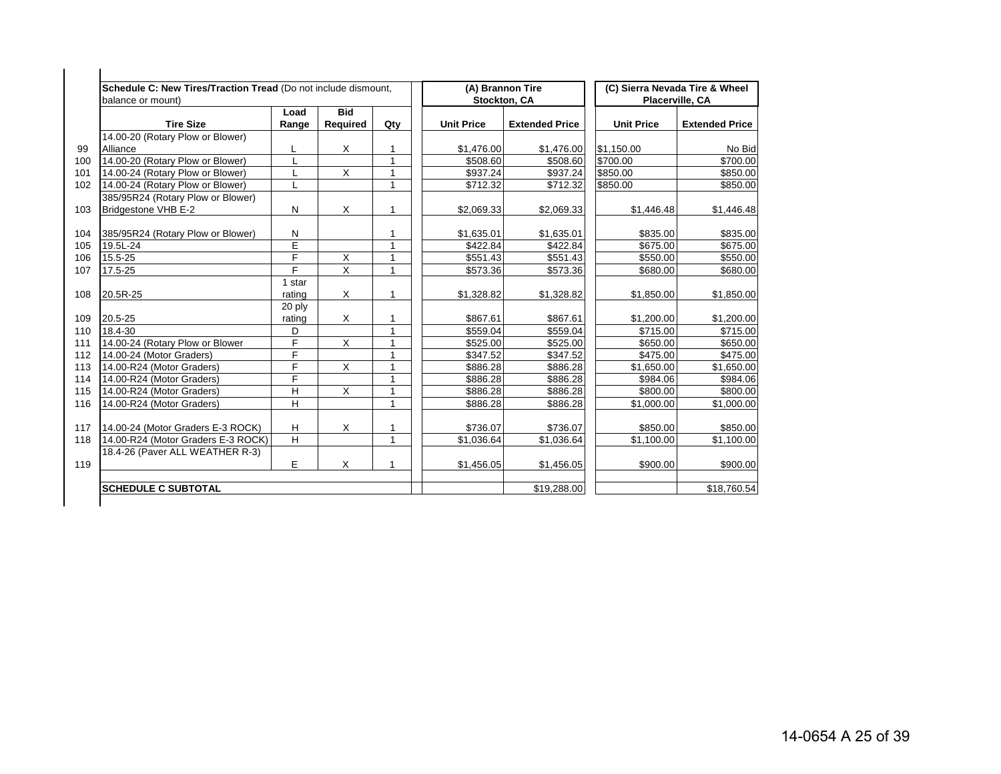|     | Schedule C: New Tires/Traction Tread (Do not include dismount,<br>balance or mount) |                |                        |              |                   | (A) Brannon Tire<br><b>Stockton, CA</b> |                   | (C) Sierra Nevada Tire & Wheel<br>Placerville, CA |
|-----|-------------------------------------------------------------------------------------|----------------|------------------------|--------------|-------------------|-----------------------------------------|-------------------|---------------------------------------------------|
|     | <b>Tire Size</b>                                                                    | Load<br>Range  | <b>Bid</b><br>Required | Qty          | <b>Unit Price</b> | <b>Extended Price</b>                   | <b>Unit Price</b> | <b>Extended Price</b>                             |
|     | 14.00-20 (Rotary Plow or Blower)                                                    |                |                        |              |                   |                                         |                   |                                                   |
|     | Alliance                                                                            | L              | X                      | 1            | \$1,476.00        | \$1,476.00                              | \$1,150.00        | No Bid                                            |
| 100 | 14.00-20 (Rotary Plow or Blower)                                                    | L              |                        | $\mathbf{1}$ | \$508.60          | \$508.60                                | \$700.00          | \$700.00                                          |
| 101 | 14.00-24 (Rotary Plow or Blower)                                                    |                | $\times$               | $\mathbf{1}$ | \$937.24          | \$937.24                                | \$850.00          | \$850.00                                          |
| 102 | 14.00-24 (Rotary Plow or Blower)                                                    | L              |                        | $\mathbf{1}$ | \$712.32          | \$712.32                                | \$850.00          | \$850.00                                          |
|     | 385/95R24 (Rotary Plow or Blower)                                                   |                |                        |              |                   |                                         |                   |                                                   |
| 103 | Bridgestone VHB E-2                                                                 | N              | X                      | $\mathbf 1$  | \$2,069.33        | \$2,069.33                              | \$1,446.48        | \$1,446.48                                        |
| 104 | 385/95R24 (Rotary Plow or Blower)                                                   | N              |                        |              | \$1,635.01        | \$1,635.01                              | \$835.00          | \$835.00                                          |
| 105 | 19.5L-24                                                                            | E              |                        | $\mathbf{1}$ | \$422.84          | \$422.84                                | \$675.00          | \$675.00                                          |
| 106 | 15.5-25                                                                             | $\overline{F}$ | X                      | 1            | \$551.43          | \$551.43                                | \$550.00          | \$550.00                                          |
| 107 | 17.5-25                                                                             | F              | $\overline{X}$         | $\mathbf{1}$ | \$573.36          | \$573.36                                | \$680.00          | \$680.00                                          |
|     |                                                                                     | 1 star         |                        |              |                   |                                         |                   |                                                   |
| 108 | 20.5R-25                                                                            | rating         | X                      | 1            | \$1,328.82        | \$1,328.82                              | \$1,850.00        | \$1,850.00                                        |
|     |                                                                                     | 20 ply         |                        |              |                   |                                         |                   |                                                   |
| 109 | 20.5-25                                                                             | rating         | X                      | $\mathbf{1}$ | \$867.61          | \$867.61                                | \$1,200.00        | \$1,200.00                                        |
| 110 | 18.4-30                                                                             | D              |                        | $\mathbf{1}$ | \$559.04          | \$559.04                                | \$715.00          | \$715.00                                          |
| 111 | 14.00-24 (Rotary Plow or Blower                                                     | F              | X                      | $\mathbf{1}$ | \$525.00          | \$525.00                                | \$650.00          | \$650.00                                          |
| 112 | 14.00-24 (Motor Graders)                                                            | F              |                        | 1            | \$347.52          | \$347.52                                | \$475.00          | \$475.00                                          |
| 113 | 14.00-R24 (Motor Graders)                                                           | F              | $\times$               | $\mathbf 1$  | \$886.28          | \$886.28                                | \$1,650.00        | \$1,650.00                                        |
| 114 | 14.00-R24 (Motor Graders)                                                           | F              |                        | $\mathbf{1}$ | \$886.28          | \$886.28                                | \$984.06          | \$984.06                                          |
| 115 | 14.00-R24 (Motor Graders)                                                           | Η              | X                      | $\mathbf{1}$ | \$886.28          | \$886.28                                | \$800.00          | \$800.00                                          |
| 116 | 14.00-R24 (Motor Graders)                                                           | H              |                        | $\mathbf{1}$ | \$886.28          | \$886.28                                | \$1,000.00        | \$1,000.00                                        |
| 117 | 14.00-24 (Motor Graders E-3 ROCK)                                                   | Н              | X                      | 1            | \$736.07          | \$736.07                                | \$850.00          | \$850.00                                          |
| 118 | 14.00-R24 (Motor Graders E-3 ROCK)                                                  | H              |                        | $\mathbf{1}$ | \$1,036.64        | \$1,036.64                              | \$1,100.00        | \$1,100.00                                        |
|     | 18.4-26 (Paver ALL WEATHER R-3)                                                     |                |                        |              |                   |                                         |                   |                                                   |
| 119 |                                                                                     | Е              | Χ                      | 1            | \$1,456.05        | \$1,456.05                              | \$900.00          | \$900.00                                          |
|     | <b>SCHEDULE C SUBTOTAL</b>                                                          |                |                        |              |                   | \$19,288.00                             |                   | \$18,760.54                                       |
|     |                                                                                     |                |                        |              |                   |                                         |                   |                                                   |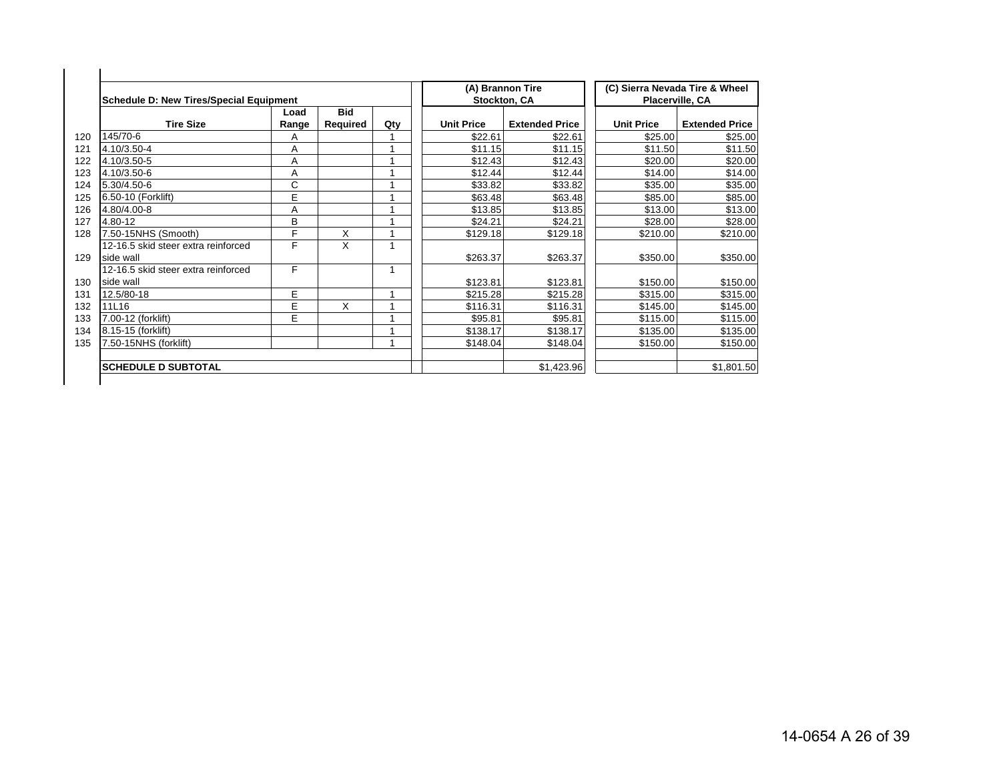| Schedule D: New Tires/Special Equipment          |               |                        |     | Stockton, CA      | (A) Brannon Tire      |                   | (C) Sierra Nevada Tire & Wheel<br>Placerville, CA |
|--------------------------------------------------|---------------|------------------------|-----|-------------------|-----------------------|-------------------|---------------------------------------------------|
| <b>Tire Size</b>                                 | Load<br>Range | <b>Bid</b><br>Required | Qty | <b>Unit Price</b> | <b>Extended Price</b> | <b>Unit Price</b> | <b>Extended Price</b>                             |
| 145/70-6                                         | A             |                        |     | \$22.61           | \$22.61               | \$25.00           | \$25.00                                           |
| 4.10/3.50-4                                      | A             |                        |     | \$11.15           | \$11.15               | \$11.50           | \$11.50                                           |
| 4.10/3.50-5                                      | Α             |                        |     | \$12.43           | \$12.43               | \$20.00           | \$20.00                                           |
| 4.10/3.50-6                                      | Α             |                        |     | \$12.44           | \$12.44               | \$14.00           | \$14.00                                           |
| 5.30/4.50-6                                      | С             |                        |     | \$33.82           | \$33.82               | \$35.00           | \$35.00                                           |
| 6.50-10 (Forklift)                               | E             |                        |     | \$63.48           | \$63.48               | \$85.00           | \$85.00                                           |
| 4.80/4.00-8                                      | A             |                        |     | \$13.85           | \$13.85               | \$13.00           | \$13.00                                           |
| 4.80-12                                          | в             |                        |     | \$24.21           | \$24.21               | \$28.00           | \$28.00                                           |
| 7.50-15NHS (Smooth)                              | F             | X                      |     | \$129.18          | \$129.18              | \$210.00          | \$210.00                                          |
| 12-16.5 skid steer extra reinforced<br>side wall | F             | X                      |     | \$263.37          | \$263.37              | \$350.00          | \$350.00                                          |
| 12-16.5 skid steer extra reinforced<br>side wall | F             |                        |     | \$123.81          | \$123.81              | \$150.00          | \$150.00                                          |
| 12.5/80-18                                       | E             |                        |     | \$215.28          | \$215.28              | \$315.00          | \$315.00                                          |
| 11L16                                            | E             | X                      |     | \$116.31          | \$116.31              | \$145.00          | \$145.00                                          |
| 7.00-12 (forklift)                               | E             |                        |     | \$95.81           | \$95.81               | \$115.00          | \$115.00                                          |
| 8.15-15 (forklift)                               |               |                        |     | \$138.17          | \$138.17              | \$135.00          | \$135.00                                          |
| 7.50-15NHS (forklift)                            |               |                        |     | \$148.04          | \$148.04              | \$150.00          | \$150.00                                          |
| <b>SCHEDULE D SUBTOTAL</b>                       |               |                        |     |                   | \$1,423.96            |                   | \$1,801.50                                        |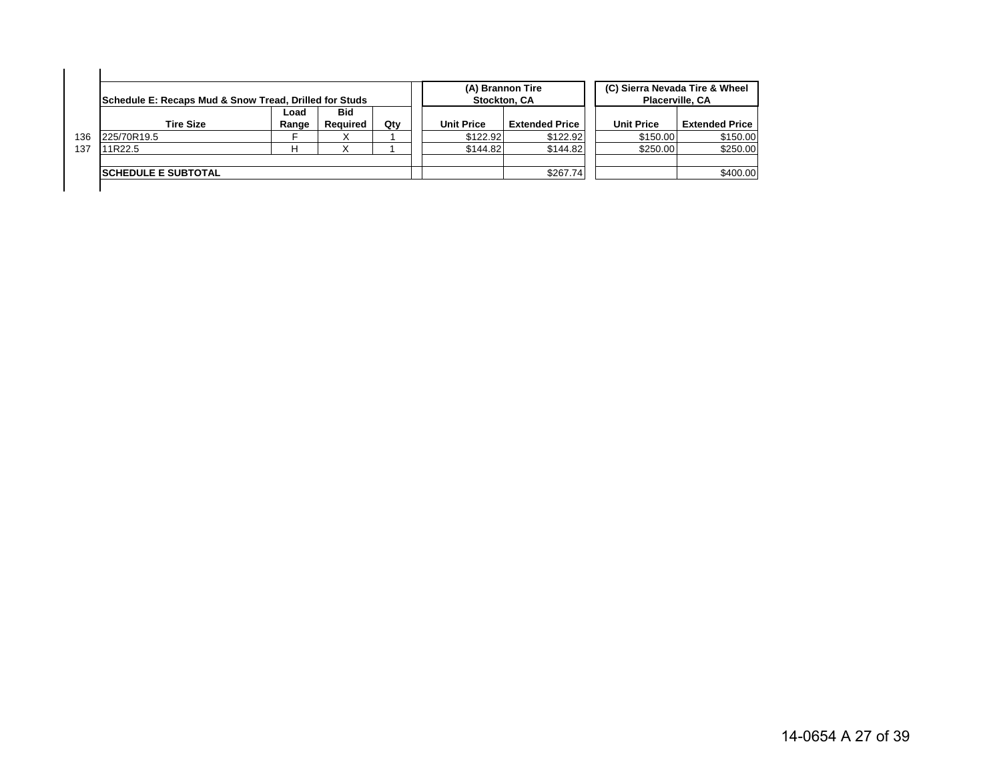|     | Schedule E: Recaps Mud & Snow Tread, Drilled for Studs |               |                        |     | (A) Brannon Tire<br>Stockton, CA |                       | Placerville, CA   | (C) Sierra Nevada Tire & Wheel |
|-----|--------------------------------------------------------|---------------|------------------------|-----|----------------------------------|-----------------------|-------------------|--------------------------------|
|     | <b>Tire Size</b>                                       | Load<br>Range | <b>Bid</b><br>Reauired | Qtv | <b>Unit Price</b>                | <b>Extended Price</b> | <b>Unit Price</b> | <b>Extended Price</b>          |
| 136 | 225/70R19.5                                            |               |                        |     | \$122.92                         | \$122.92              | \$150.00          | \$150.00                       |
| 137 | 11R22.5                                                |               |                        |     | \$144.82                         | \$144.82              | \$250.00          | \$250.00                       |
|     | <b>ISCHEDULE E SUBTOTAL</b>                            |               |                        |     |                                  | \$267.74              |                   | \$400.00                       |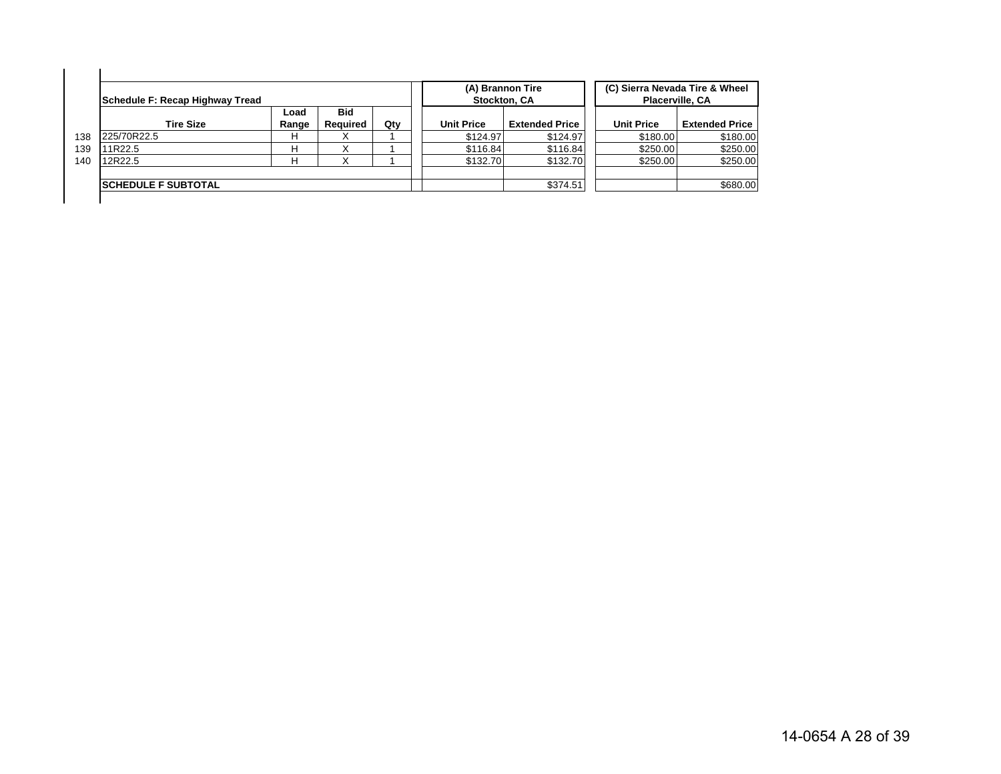|     | Schedule F: Recap Highway Tread |               |                 |     |                   | (A) Brannon Tire<br>Stockton, CA | Placerville, CA   | (C) Sierra Nevada Tire & Wheel |
|-----|---------------------------------|---------------|-----------------|-----|-------------------|----------------------------------|-------------------|--------------------------------|
|     | <b>Tire Size</b>                | Load<br>Range | Bid<br>Required | Qtv | <b>Unit Price</b> | <b>Extended Price</b>            | <b>Unit Price</b> | <b>Extended Price</b>          |
| 138 | 225/70R22.5                     | н             |                 |     | \$124.97          | \$124.97                         | \$180.00          | \$180.00                       |
| 139 | 11R22.5                         | н             |                 |     | \$116.84          | \$116.84                         | \$250.00          | \$250.00                       |
| 140 | 12R22.5                         | н             |                 |     | \$132.70          | \$132.70                         | \$250.00          | \$250.00                       |
|     |                                 |               |                 |     |                   |                                  |                   |                                |
|     | <b>ISCHEDULE F SUBTOTAL</b>     |               |                 |     |                   | \$374.51                         |                   | \$680.00                       |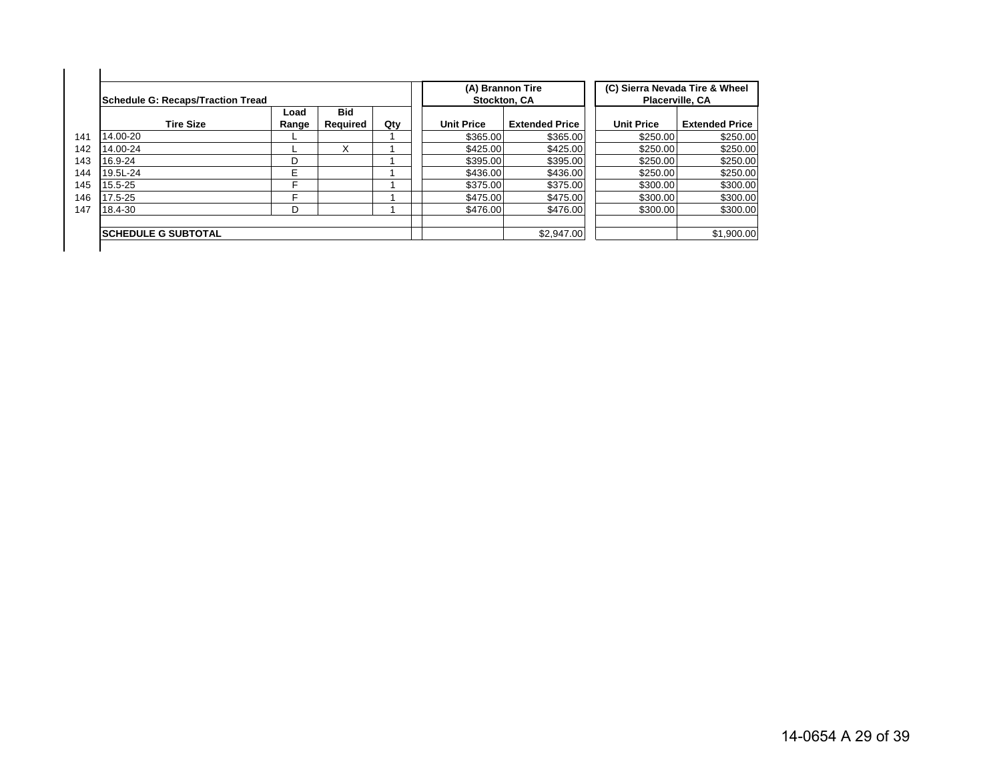| Schedule G: Recaps/Traction Tread |               |                        |     |                   | (A) Brannon Tire<br><b>Stockton, CA</b> | (C) Sierra Nevada Tire & Wheel<br>Placerville, CA |                       |
|-----------------------------------|---------------|------------------------|-----|-------------------|-----------------------------------------|---------------------------------------------------|-----------------------|
| <b>Tire Size</b>                  | Load<br>Range | <b>Bid</b><br>Reauired | Qty | <b>Unit Price</b> | <b>Extended Price</b>                   | <b>Unit Price</b>                                 | <b>Extended Price</b> |
| 14.00-20                          |               |                        |     | \$365.00          | \$365.00                                | \$250.00                                          | \$250.00              |
| 14.00-24                          |               | x                      |     | \$425.00          | \$425.00                                | \$250.00                                          | \$250.00              |
| 16.9-24                           | D             |                        |     | \$395.00          | \$395.00                                | \$250.00                                          | \$250.00              |
| 19.5L-24                          | E             |                        |     | \$436.00          | \$436.00                                | \$250.00                                          | \$250.00              |
| 15.5-25                           | E             |                        |     | \$375.00          | \$375.00                                | \$300.00                                          | \$300.00              |
| 17.5-25                           | F             |                        |     | \$475.00          | \$475.00                                | \$300.00                                          | \$300.00              |
| 18.4-30                           | D             |                        |     | \$476.00          | \$476.00                                | \$300.00                                          | \$300.00              |
| <b>ISCHEDULE G SUBTOTAL</b>       |               |                        |     |                   | \$2,947.00                              |                                                   | \$1,900.00            |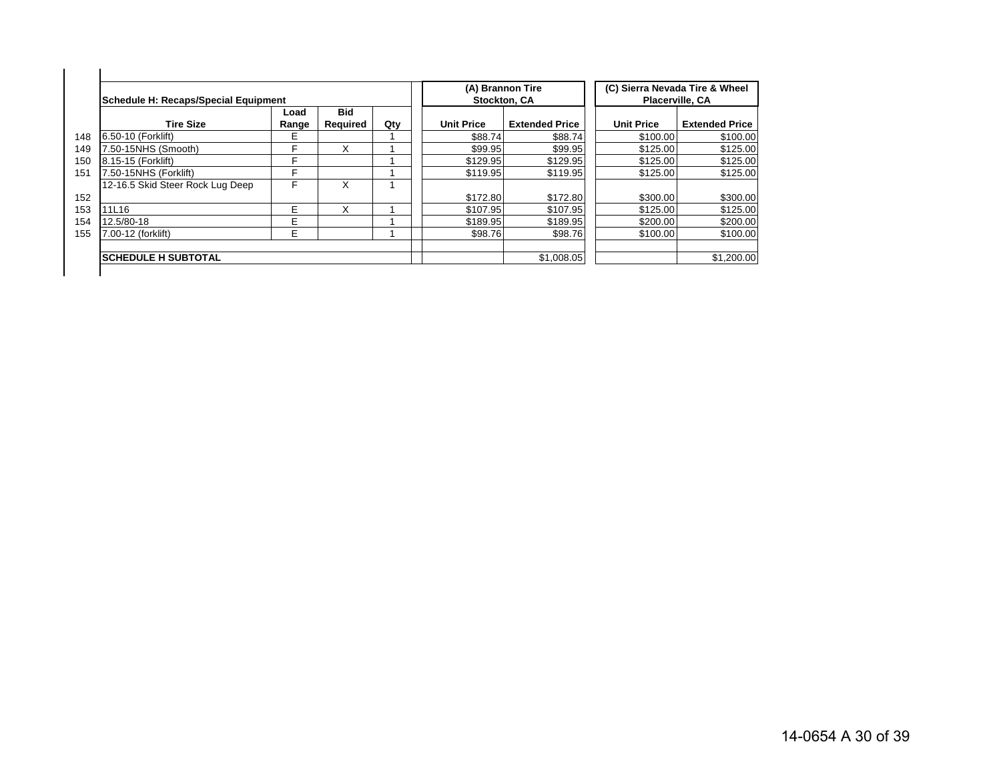| Schedule H: Recaps/Special Equipment |               |                        |     |                   | (A) Brannon Tire<br>Stockton, CA |                   | (C) Sierra Nevada Tire & Wheel<br>Placerville, CA |
|--------------------------------------|---------------|------------------------|-----|-------------------|----------------------------------|-------------------|---------------------------------------------------|
| <b>Tire Size</b>                     | Load<br>Range | <b>Bid</b><br>Required | Qty | <b>Unit Price</b> | <b>Extended Price</b>            | <b>Unit Price</b> | <b>Extended Price</b>                             |
| 148<br>6.50-10 (Forklift)            | E             |                        |     | \$88.74           | \$88.74                          | \$100.00          | \$100.00                                          |
| '.50-15NHS (Smooth)                  | F             | X                      |     | \$99.95           | \$99.95                          | \$125.00          | \$125.00                                          |
| 8.15-15 (Forklift)<br>150            | F             |                        |     | \$129.95          | \$129.95                         | \$125.00          | \$125.00                                          |
| 7.50-15NHS (Forklift)                | F             |                        |     | \$119.95          | \$119.95                         | \$125.00          | \$125.00                                          |
| 12-16.5 Skid Steer Rock Lug Deep     | F             | X                      |     |                   |                                  |                   |                                                   |
| 152                                  |               |                        |     | \$172.80          | \$172.80                         | \$300.00          | \$300.00                                          |
| 11L16<br>153                         | Е             | x                      |     | \$107.95          | \$107.95                         | \$125.00          | \$125.00                                          |
| 12.5/80-18<br>154                    | E             |                        |     | \$189.95          | \$189.95                         | \$200.00          | \$200.00                                          |
| 7.00-12 (forklift)<br>155            | Е             |                        |     | \$98.76           | \$98.76                          | \$100.00          | \$100.00                                          |
| <b>ISCHEDULE H SUBTOTAL</b>          |               |                        |     |                   | \$1,008.05                       |                   | \$1,200.00                                        |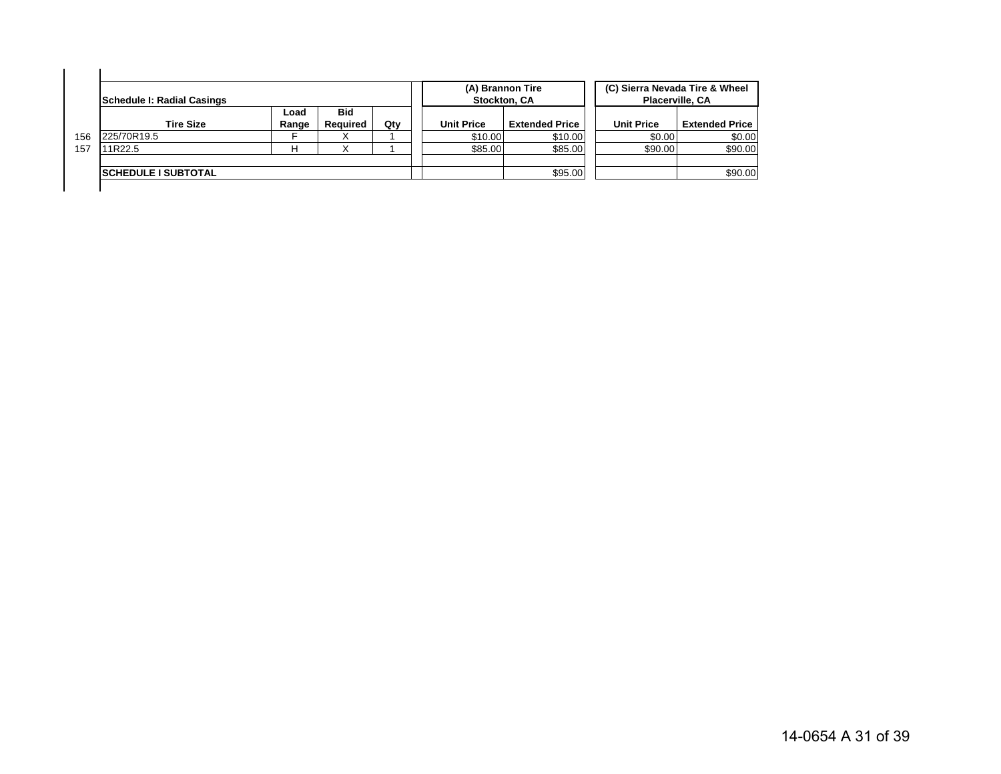|     | Schedule I: Radial Casings  |               |                               |     |                   | (A) Brannon Tire<br>Stockton, CA |                   | (C) Sierra Nevada Tire & Wheel<br><b>Placerville, CA</b> |
|-----|-----------------------------|---------------|-------------------------------|-----|-------------------|----------------------------------|-------------------|----------------------------------------------------------|
|     | <b>Tire Size</b>            | Load<br>Range | <b>Bid</b><br><b>Required</b> | Qtv | <b>Unit Price</b> | <b>Extended Price</b>            | <b>Unit Price</b> | <b>Extended Price</b>                                    |
| 156 | 225/70R19.5                 |               |                               |     | \$10.00           | \$10.00                          | \$0.00            | \$0.00                                                   |
| 157 | 11R22.5                     | Н             |                               |     | \$85.00           | \$85.00                          | \$90.00           | \$90.00                                                  |
|     | <b>ISCHEDULE I SUBTOTAL</b> |               |                               |     |                   | \$95.00                          |                   | \$90.00                                                  |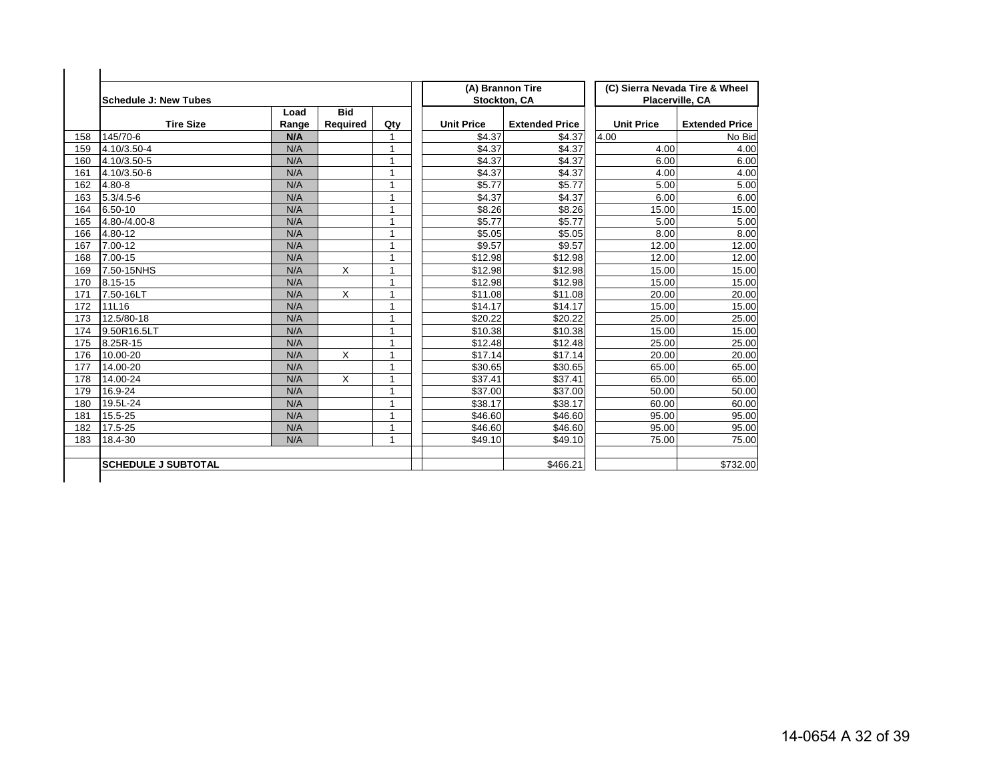|     | <b>Schedule J: New Tubes</b> |               |                        |     | (A) Brannon Tire  | Stockton, CA          | Placerville, CA   | (C) Sierra Nevada Tire & Wheel |
|-----|------------------------------|---------------|------------------------|-----|-------------------|-----------------------|-------------------|--------------------------------|
|     | <b>Tire Size</b>             | Load<br>Range | <b>Bid</b><br>Required | Qty | <b>Unit Price</b> | <b>Extended Price</b> | <b>Unit Price</b> | <b>Extended Price</b>          |
| 158 | 145/70-6                     | N/A           |                        |     | \$4.37            | \$4.37                | 4.00              | No Bid                         |
| 159 | 4.10/3.50-4                  | N/A           |                        | 1   | \$4.37            | \$4.37                | 4.00              | 4.00                           |
| 160 | 4.10/3.50-5                  | N/A           |                        | 1   | \$4.37            | \$4.37                | 6.00              | 6.00                           |
| 161 | 4.10/3.50-6                  | N/A           |                        | 1   | \$4.37            | \$4.37                | 4.00              | 4.00                           |
| 162 | 4.80-8                       | N/A           |                        | 1   | \$5.77            | \$5.77                | 5.00              | 5.00                           |
| 163 | $5.3/4.5 - 6$                | N/A           |                        | 1   | \$4.37            | \$4.37                | 6.00              | 6.00                           |
| 164 | 6.50-10                      | N/A           |                        | 1   | \$8.26            | \$8.26                | 15.00             | 15.00                          |
| 165 | 4.80-/4.00-8                 | N/A           |                        | 1   | \$5.77            | \$5.77                | 5.00              | 5.00                           |
| 166 | 4.80-12                      | N/A           |                        | 1   | \$5.05            | \$5.05                | 8.00              | 8.00                           |
| 167 | 7.00-12                      | N/A           |                        | 1   | \$9.57            | \$9.57                | 12.00             | 12.00                          |
| 168 | 7.00-15                      | N/A           |                        | 1   | \$12.98           | \$12.98               | 12.00             | 12.00                          |
| 169 | 7.50-15NHS                   | N/A           | X                      | 1   | \$12.98           | \$12.98               | 15.00             | 15.00                          |
| 170 | 8.15-15                      | N/A           |                        | 1   | \$12.98           | \$12.98               | 15.00             | 15.00                          |
| 171 | 7.50-16LT                    | N/A           | X                      | 1   | \$11.08           | \$11.08               | 20.00             | 20.00                          |
| 172 | 11L16                        | N/A           |                        | 1   | \$14.17           | \$14.17               | 15.00             | 15.00                          |
| 173 | 12.5/80-18                   | N/A           |                        | 4   | \$20.22           | \$20.22               | 25.00             | 25.00                          |
| 174 | 9.50R16.5LT                  | N/A           |                        | 1   | \$10.38           | \$10.38               | 15.00             | 15.00                          |
| 175 | 8.25R-15                     | N/A           |                        | 1   | \$12.48           | \$12.48               | 25.00             | 25.00                          |
| 176 | 10.00-20                     | N/A           | X                      | 1   | \$17.14           | \$17.14               | 20.00             | 20.00                          |
| 177 | 14.00-20                     | N/A           |                        | 1   | \$30.65           | \$30.65               | 65.00             | 65.00                          |
| 178 | 14.00-24                     | N/A           | X                      | 1   | \$37.41           | \$37.41               | 65.00             | 65.00                          |
| 179 | 16.9-24                      | N/A           |                        | 1   | \$37.00           | \$37.00               | 50.00             | 50.00                          |
| 180 | 19.5L-24                     | N/A           |                        | 1   | \$38.17           | \$38.17               | 60.00             | 60.00                          |
| 181 | 15.5-25                      | N/A           |                        | 1   | \$46.60           | \$46.60               | 95.00             | 95.00                          |
| 182 | 17.5-25                      | N/A           |                        | 1   | \$46.60           | \$46.60               | 95.00             | 95.00                          |
| 183 | 18.4-30                      | N/A           |                        | 1   | \$49.10           | \$49.10               | 75.00             | 75.00                          |
|     | <b>SCHEDULE J SUBTOTAL</b>   |               |                        |     |                   | \$466.21              |                   | \$732.00                       |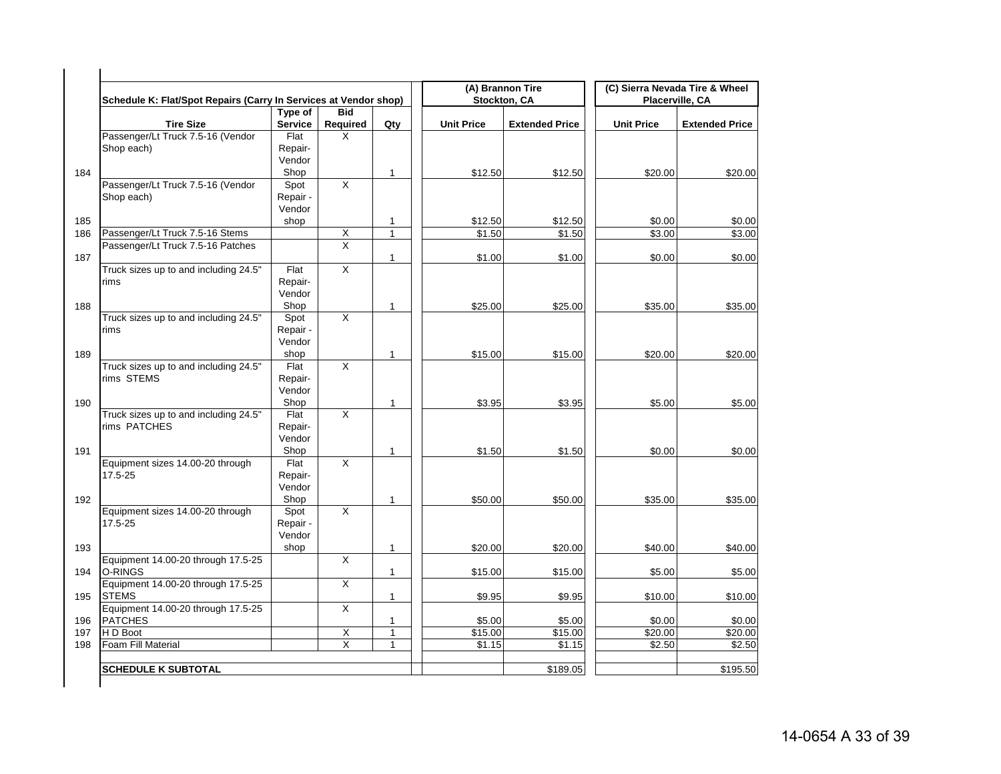| Schedule K: Flat/Spot Repairs (Carry In Services at Vendor shop) |                           |                         |              |                   | (A) Brannon Tire<br>Stockton, CA |                   | (C) Sierra Nevada Tire & Wheel<br>Placerville, CA |
|------------------------------------------------------------------|---------------------------|-------------------------|--------------|-------------------|----------------------------------|-------------------|---------------------------------------------------|
| <b>Tire Size</b>                                                 | Type of<br><b>Service</b> | <b>Bid</b><br>Required  | Qty          | <b>Unit Price</b> | <b>Extended Price</b>            | <b>Unit Price</b> | <b>Extended Price</b>                             |
| Passenger/Lt Truck 7.5-16 (Vendor                                | Flat                      | X                       |              |                   |                                  |                   |                                                   |
| Shop each)                                                       | Repair-                   |                         |              |                   |                                  |                   |                                                   |
|                                                                  | Vendor                    |                         |              |                   |                                  |                   |                                                   |
|                                                                  | Shop                      |                         | $\mathbf{1}$ | \$12.50           | \$12.50                          | \$20.00           | \$20.00                                           |
| Passenger/Lt Truck 7.5-16 (Vendor                                | Spot                      | X                       |              |                   |                                  |                   |                                                   |
| Shop each)                                                       | Repair -                  |                         |              |                   |                                  |                   |                                                   |
|                                                                  | Vendor                    |                         |              |                   |                                  |                   |                                                   |
|                                                                  | shop                      |                         | 1            | \$12.50           | \$12.50                          | \$0.00            | \$0.00                                            |
| Passenger/Lt Truck 7.5-16 Stems                                  |                           | $\overline{X}$          | $\mathbf{1}$ | \$1.50            | \$1.50                           | \$3.00            | \$3.00                                            |
| Passenger/Lt Truck 7.5-16 Patches                                |                           | $\overline{\mathsf{x}}$ |              |                   |                                  |                   |                                                   |
|                                                                  |                           |                         | $\mathbf{1}$ | \$1.00            |                                  |                   |                                                   |
|                                                                  | Flat                      | Χ                       |              |                   | \$1.00                           | \$0.00            | \$0.00                                            |
| Truck sizes up to and including 24.5"<br>rims                    |                           |                         |              |                   |                                  |                   |                                                   |
|                                                                  | Repair-<br>Vendor         |                         |              |                   |                                  |                   |                                                   |
|                                                                  |                           |                         |              |                   |                                  |                   |                                                   |
|                                                                  | Shop                      |                         | $\mathbf{1}$ | \$25.00           | \$25.00                          | \$35.00           | \$35.00                                           |
| Truck sizes up to and including 24.5"                            | Spot                      | $\overline{\mathsf{x}}$ |              |                   |                                  |                   |                                                   |
| rims                                                             | Repair -                  |                         |              |                   |                                  |                   |                                                   |
|                                                                  | Vendor                    |                         |              |                   |                                  |                   |                                                   |
|                                                                  | shop                      |                         | $\mathbf{1}$ | \$15.00           | \$15.00                          | \$20.00           | \$20.00                                           |
| Truck sizes up to and including 24.5"                            | Flat                      | $\overline{\mathsf{X}}$ |              |                   |                                  |                   |                                                   |
| rims STEMS                                                       | Repair-                   |                         |              |                   |                                  |                   |                                                   |
|                                                                  | Vendor                    |                         |              |                   |                                  |                   |                                                   |
|                                                                  | Shop                      |                         | 1            | \$3.95            | \$3.95                           | \$5.00            | \$5.00                                            |
| Truck sizes up to and including 24.5"                            | Flat                      | X                       |              |                   |                                  |                   |                                                   |
| rims PATCHES                                                     | Repair-                   |                         |              |                   |                                  |                   |                                                   |
|                                                                  | Vendor                    |                         |              |                   |                                  |                   |                                                   |
|                                                                  | Shop                      |                         | 1            | \$1.50            | \$1.50                           | \$0.00            | \$0.00                                            |
| Equipment sizes 14.00-20 through                                 | Flat                      | X                       |              |                   |                                  |                   |                                                   |
| 17.5-25                                                          | Repair-                   |                         |              |                   |                                  |                   |                                                   |
|                                                                  | Vendor                    |                         |              |                   |                                  |                   |                                                   |
|                                                                  | Shop                      |                         | 1            | \$50.00           | \$50.00                          | \$35.00           | \$35.00                                           |
| Equipment sizes 14.00-20 through                                 | Spot                      | Χ                       |              |                   |                                  |                   |                                                   |
| 17.5-25                                                          | Repair -                  |                         |              |                   |                                  |                   |                                                   |
|                                                                  | Vendor                    |                         |              |                   |                                  |                   |                                                   |
|                                                                  | shop                      |                         | $\mathbf{1}$ | \$20.00           | \$20.00                          | \$40.00           | \$40.00                                           |
| Equipment 14.00-20 through 17.5-25                               |                           | X                       |              |                   |                                  |                   |                                                   |
| O-RINGS                                                          |                           |                         | $\mathbf{1}$ | \$15.00           | \$15.00                          | \$5.00            | \$5.00                                            |
| Equipment 14.00-20 through 17.5-25                               |                           | X                       |              |                   |                                  |                   |                                                   |
| <b>STEMS</b>                                                     |                           |                         | $\mathbf{1}$ | \$9.95            | \$9.95                           | \$10.00           | \$10.00                                           |
| Equipment 14.00-20 through 17.5-25                               |                           | X                       |              |                   |                                  |                   |                                                   |
| <b>PATCHES</b>                                                   |                           |                         | 1            | \$5.00            | \$5.00                           | \$0.00            | \$0.00                                            |
| H D Boot                                                         |                           | $\overline{\mathsf{X}}$ | $\mathbf{1}$ | \$15.00           | \$15.00                          | \$20.00           | \$20.00                                           |
| Foam Fill Material                                               |                           | $\overline{X}$          | $\mathbf{1}$ | \$1.15            | \$1.15                           | \$2.50            | \$2.50                                            |
|                                                                  |                           |                         |              |                   |                                  |                   |                                                   |
|                                                                  |                           |                         |              |                   |                                  |                   |                                                   |
| <b>SCHEDULE K SUBTOTAL</b>                                       |                           |                         |              |                   | \$189.05                         |                   | \$195.50                                          |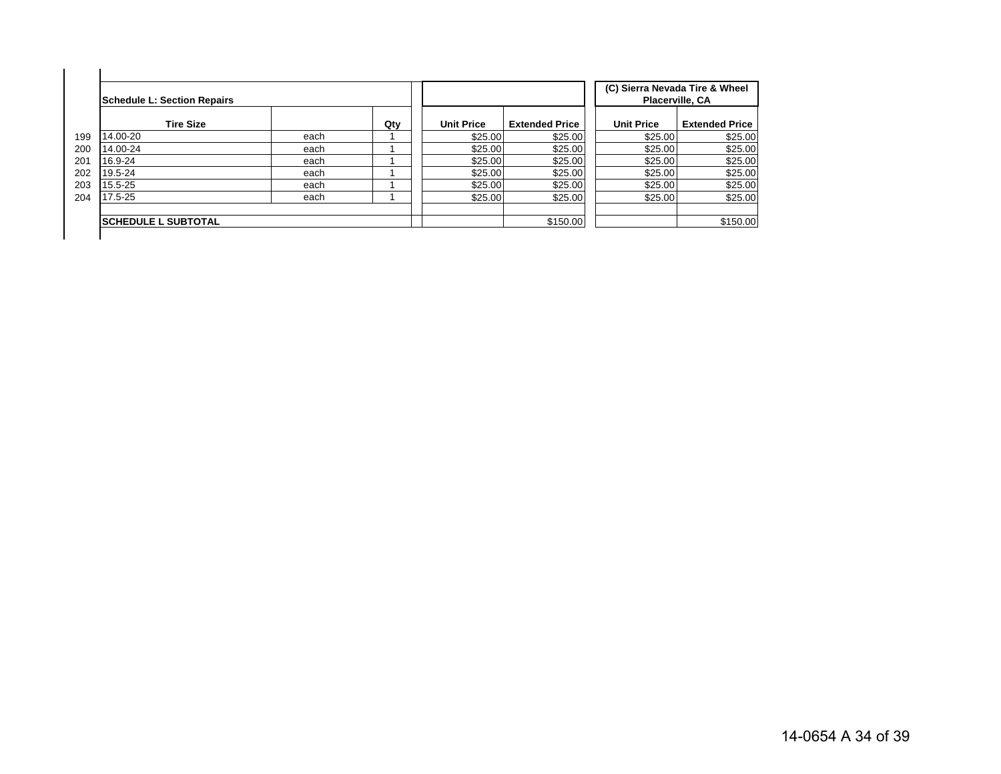| <b>Schedule L: Section Repairs</b> |      |     |                   |                       |                   | (C) Sierra Nevada Tire & Wheel<br>Placerville, CA |
|------------------------------------|------|-----|-------------------|-----------------------|-------------------|---------------------------------------------------|
| <b>Tire Size</b>                   |      | Qty | <b>Unit Price</b> | <b>Extended Price</b> | <b>Unit Price</b> | <b>Extended Price</b>                             |
| 14.00-20                           | each |     | \$25.00           | \$25.00               | \$25.00           | \$25.00                                           |
| 14.00-24                           | each |     | \$25.00           | \$25.00               | \$25.00           | \$25.00                                           |
| 16.9-24                            | each |     | \$25.00           | \$25.00               | \$25.00           | \$25.00                                           |
| 19.5-24                            | each |     | \$25.00           | \$25.00               | \$25.00           | \$25.00                                           |
| 15.5-25                            | each |     | \$25.00           | \$25.00               | \$25.00           | \$25.00                                           |
| 17.5-25                            | each |     | \$25.00           | \$25.00               | \$25.00           | \$25.00                                           |
| <b>ISCHEDULE L SUBTOTAL</b>        |      |     |                   | \$150.00              |                   | \$150.00                                          |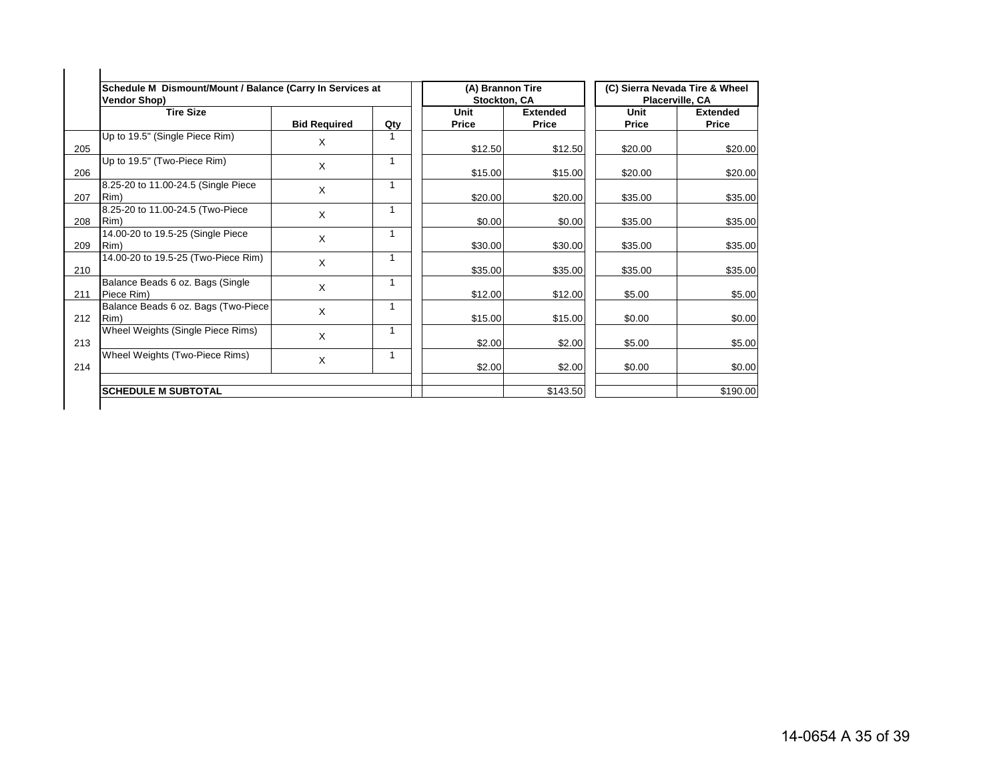|     | Schedule M Dismount/Mount / Balance (Carry In Services at<br><b>Vendor Shop)</b> |                     |     | (A) Brannon Tire<br>Stockton, CA |                          |               | (C) Sierra Nevada Tire & Wheel<br><b>Placerville, CA</b> |
|-----|----------------------------------------------------------------------------------|---------------------|-----|----------------------------------|--------------------------|---------------|----------------------------------------------------------|
|     | <b>Tire Size</b>                                                                 | <b>Bid Required</b> | Qty | Unit<br><b>Price</b>             | <b>Extended</b><br>Price | Unit<br>Price | <b>Extended</b><br>Price                                 |
| 205 | Up to 19.5" (Single Piece Rim)                                                   | X                   |     | \$12.50                          | \$12.50                  | \$20.00       | \$20.00                                                  |
| 206 | Up to 19.5" (Two-Piece Rim)                                                      | X                   | 1   | \$15.00                          | \$15.00                  | \$20.00       | \$20.00                                                  |
| 207 | 8.25-20 to 11.00-24.5 (Single Piece<br>Rim)                                      | X                   |     | \$20.00                          | \$20.00                  | \$35.00       | \$35.00                                                  |
| 208 | 8.25-20 to 11.00-24.5 (Two-Piece<br>Rim)                                         | X                   | 1   | \$0.00                           | \$0.00                   | \$35.00       | \$35.00                                                  |
| 209 | 14.00-20 to 19.5-25 (Single Piece<br>Rim)                                        | X                   | 1   | \$30.00                          | \$30.00                  | \$35.00       | \$35.00                                                  |
| 210 | 14.00-20 to 19.5-25 (Two-Piece Rim)                                              | $\mathsf{X}$        |     | \$35.00                          | \$35.00                  | \$35.00       | \$35.00                                                  |
| 211 | Balance Beads 6 oz. Bags (Single<br>Piece Rim)                                   | X                   | 1   | \$12.00                          | \$12.00                  | \$5.00        | \$5.00                                                   |
| 212 | Balance Beads 6 oz. Bags (Two-Piece<br>Rim)                                      | X                   | 1   | \$15.00                          | \$15.00                  | \$0.00        | \$0.00                                                   |
| 213 | Wheel Weights (Single Piece Rims)                                                | X                   |     | \$2.00                           | \$2.00                   | \$5.00        | \$5.00                                                   |
| 214 | Wheel Weights (Two-Piece Rims)                                                   | X                   | 1   | \$2.00                           | \$2.00                   | \$0.00        | \$0.00                                                   |
|     | <b>SCHEDULE M SUBTOTAL</b>                                                       |                     |     |                                  | \$143.50                 |               | \$190.00                                                 |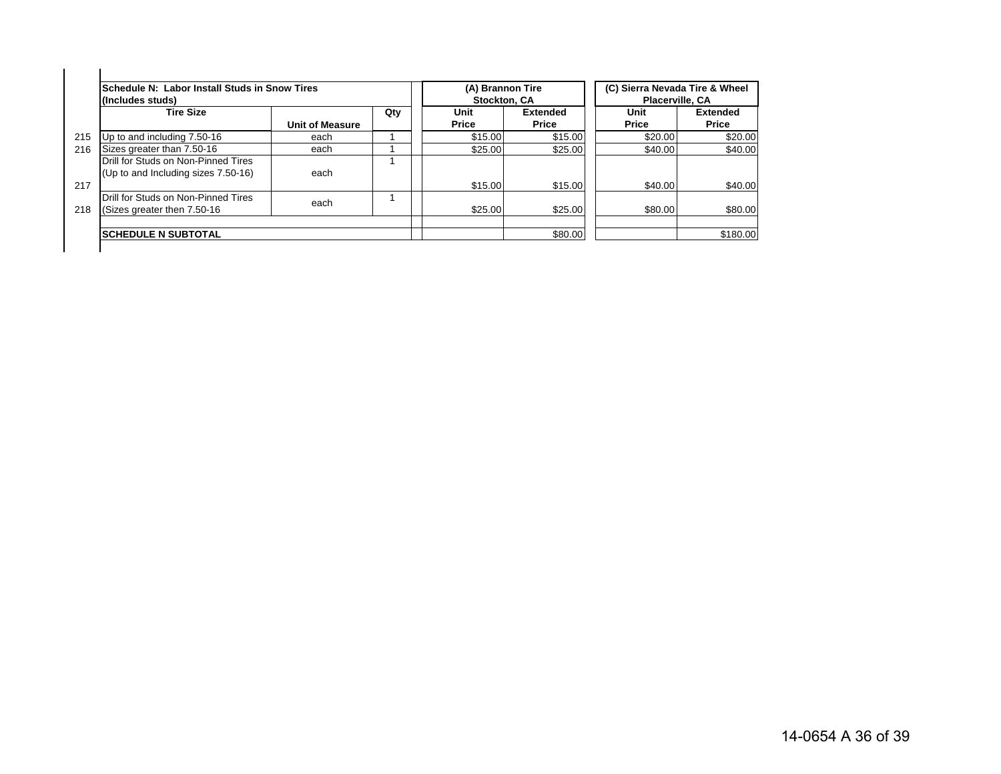|     | Schedule N: Labor Install Studs in Snow Tires<br>(Includes studs)          |                        |     | (A) Brannon Tire<br><b>Stockton, CA</b> |                          | (C) Sierra Nevada Tire & Wheel<br><b>Placerville, CA</b> |                                 |
|-----|----------------------------------------------------------------------------|------------------------|-----|-----------------------------------------|--------------------------|----------------------------------------------------------|---------------------------------|
|     | <b>Tire Size</b>                                                           | <b>Unit of Measure</b> | Qty | Unit<br><b>Price</b>                    | <b>Extended</b><br>Price | Unit<br>Price                                            | <b>Extended</b><br><b>Price</b> |
| 215 | Up to and including 7.50-16                                                | each                   |     | \$15.00                                 | \$15.00                  | \$20.00                                                  | \$20.00                         |
| 216 | Sizes greater than 7.50-16                                                 | each                   |     | \$25.00                                 | \$25.00                  | \$40.00                                                  | \$40.00                         |
| 217 | Drill for Studs on Non-Pinned Tires<br>(Up to and Including sizes 7.50-16) | each                   |     | \$15.00                                 | \$15.00                  | \$40.00                                                  | \$40.00                         |
| 218 | Drill for Studs on Non-Pinned Tires<br>(Sizes greater then 7.50-16)        | each                   |     | \$25.00                                 | \$25.00                  | \$80.00                                                  | \$80.00                         |
|     | <b>SCHEDULE N SUBTOTAL</b>                                                 |                        |     |                                         | \$80.00                  |                                                          | \$180.00                        |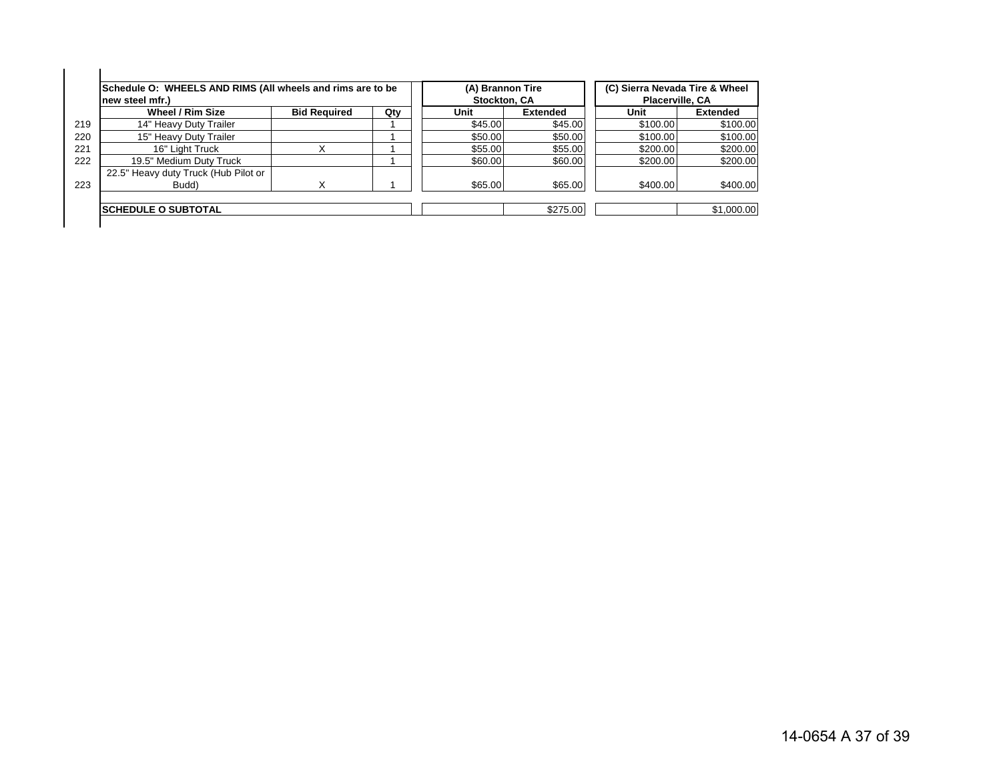|     | Schedule O: WHEELS AND RIMS (All wheels and rims are to be<br>new steel mfr.) |                     |     | (A) Brannon Tire<br>Stockton, CA |                 | (C) Sierra Nevada Tire & Wheel<br>Placerville, CA |                 |
|-----|-------------------------------------------------------------------------------|---------------------|-----|----------------------------------|-----------------|---------------------------------------------------|-----------------|
|     | Wheel / Rim Size                                                              | <b>Bid Required</b> | Qty | Unit                             | <b>Extended</b> | Unit                                              | <b>Extended</b> |
| 219 | 14" Heavy Duty Trailer                                                        |                     |     | \$45.00                          | \$45.00         | \$100.00                                          | \$100.00        |
| 220 | 15" Heavy Duty Trailer                                                        |                     |     | \$50.00                          | \$50.00         | \$100.00                                          | \$100.00        |
|     | 16" Light Truck                                                               |                     |     | \$55.00                          | \$55.00         | \$200.00                                          | \$200.00        |
| 222 | 19.5" Medium Duty Truck                                                       |                     |     | \$60.00                          | \$60.00         | \$200.00                                          | \$200.00        |
| 223 | 22.5" Heavy duty Truck (Hub Pilot or<br>Budd)                                 |                     |     | \$65,00                          | \$65.00         | \$400.00                                          | \$400.00        |
|     | <b>ISCHEDULE O SUBTOTAL</b>                                                   |                     |     |                                  | \$275.00        |                                                   | \$1,000.00      |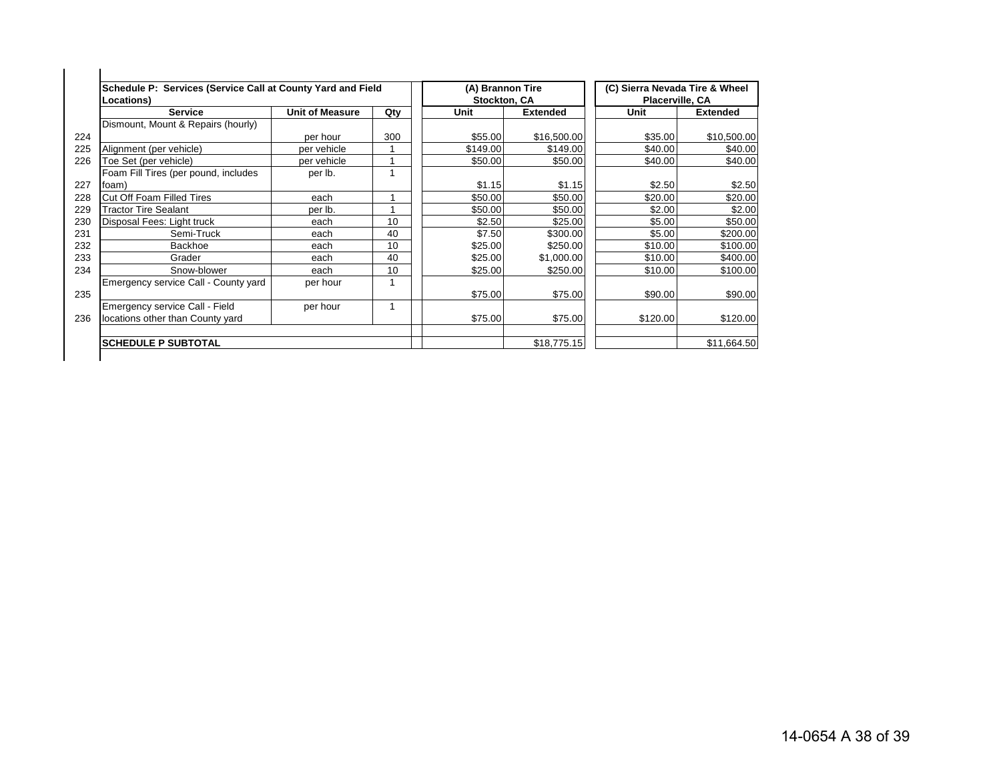| Schedule P: Services (Service Call at County Yard and Field<br><b>Locations)</b> |                        |     | (A) Brannon Tire<br>Stockton, CA |                 | (C) Sierra Nevada Tire & Wheel<br>Placerville, CA |                 |
|----------------------------------------------------------------------------------|------------------------|-----|----------------------------------|-----------------|---------------------------------------------------|-----------------|
| <b>Service</b>                                                                   | <b>Unit of Measure</b> | Qty | Unit                             | <b>Extended</b> | Unit                                              | <b>Extended</b> |
| Dismount, Mount & Repairs (hourly)                                               |                        |     |                                  |                 |                                                   |                 |
|                                                                                  | per hour               | 300 | \$55.00                          | \$16,500.00     | \$35.00                                           | \$10,500.00     |
| Alignment (per vehicle)                                                          | per vehicle            |     | \$149.00                         | \$149.00        | \$40.00                                           | \$40.00         |
| Toe Set (per vehicle)                                                            | per vehicle            |     | \$50.00                          | \$50.00         | \$40.00                                           | \$40.00         |
| Foam Fill Tires (per pound, includes                                             | per lb.                |     |                                  |                 |                                                   |                 |
| foam)                                                                            |                        |     | \$1.15                           | \$1.15          | \$2.50                                            | \$2.50          |
| Cut Off Foam Filled Tires                                                        | each                   |     | \$50.00                          | \$50.00         | \$20.00                                           | \$20.00         |
| <b>Tractor Tire Sealant</b>                                                      | per lb.                |     | \$50.00                          | \$50.00         | \$2.00                                            | \$2.00          |
| Disposal Fees: Light truck                                                       | each                   | 10  | \$2.50                           | \$25.00         | \$5.00                                            | \$50.00         |
| Semi-Truck                                                                       | each                   | 40  | \$7.50                           | \$300.00        | \$5.00                                            | \$200.00        |
| Backhoe                                                                          | each                   | 10  | \$25.00                          | \$250.00        | \$10.00                                           | \$100.00        |
| Grader                                                                           | each                   | 40  | \$25.00                          | \$1,000.00      | \$10.00                                           | \$400.00        |
| Snow-blower                                                                      | each                   | 10  | \$25.00                          | \$250.00        | \$10.00                                           | \$100.00        |
| Emergency service Call - County yard                                             | per hour               |     |                                  |                 |                                                   |                 |
|                                                                                  |                        |     | \$75.00                          | \$75.00         | \$90.00                                           | \$90.00         |
| Emergency service Call - Field                                                   | per hour               |     |                                  |                 |                                                   |                 |
| locations other than County yard                                                 |                        |     | \$75.00                          | \$75.00         | \$120.00                                          | \$120.00        |
| <b>SCHEDULE P SUBTOTAL</b>                                                       |                        |     |                                  | \$18,775.15     |                                                   | \$11.664.50     |